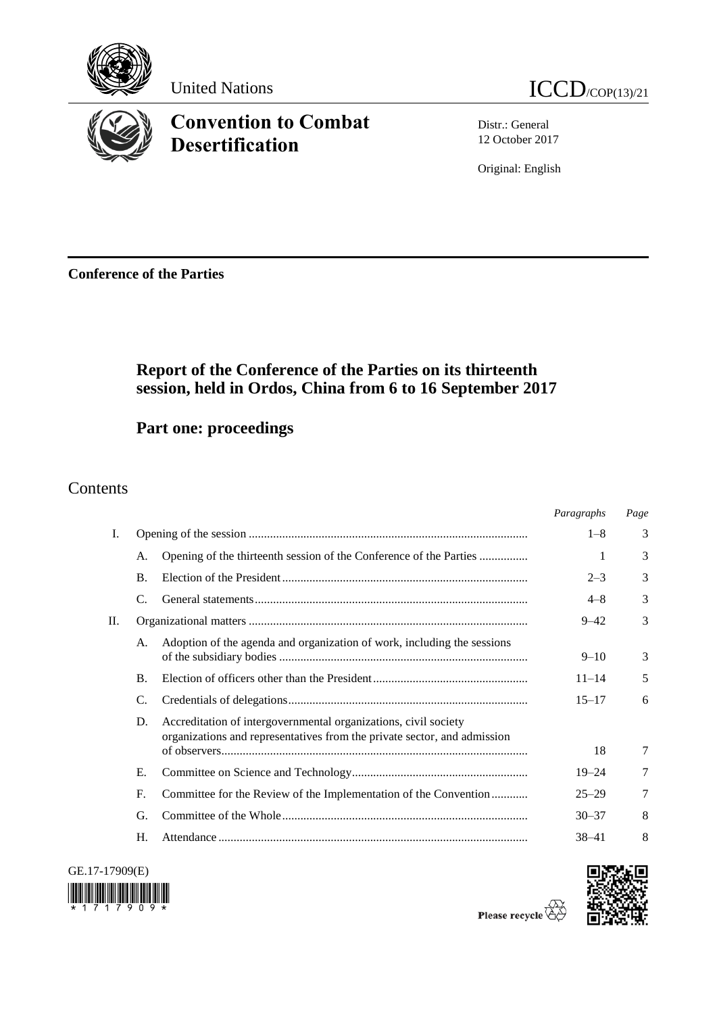

# **Convention to Combat Desertification**

Distr.: General 12 October 2017

Original: English

**Conference of the Parties**

## **Report of the Conference of the Parties on its thirteenth session, held in Ordos, China from 6 to 16 September 2017**

**Part one: proceedings**

## Contents

|    |                |                                                                                                                                             | Paragraphs | Page |
|----|----------------|---------------------------------------------------------------------------------------------------------------------------------------------|------------|------|
| Ι. |                |                                                                                                                                             | $1 - 8$    | 3    |
|    | A.             | Opening of the thirteenth session of the Conference of the Parties                                                                          | 1          | 3    |
|    | $\mathbf{B}$ . |                                                                                                                                             | $2 - 3$    | 3    |
|    | C.             |                                                                                                                                             | $4 - 8$    | 3    |
| П. |                |                                                                                                                                             |            | 3    |
|    | A.             | Adoption of the agenda and organization of work, including the sessions                                                                     | $9 - 10$   | 3    |
|    | <b>B.</b>      |                                                                                                                                             | $11 - 14$  | 5    |
|    | C.             |                                                                                                                                             | $15 - 17$  | 6    |
|    | D.             | Accreditation of intergovernmental organizations, civil society<br>organizations and representatives from the private sector, and admission | 18         | 7    |
|    |                |                                                                                                                                             |            |      |
|    | Е.             |                                                                                                                                             | $19 - 24$  | 7    |
|    | F.             | Committee for the Review of the Implementation of the Convention                                                                            | $25 - 29$  | 7    |
|    | G.             |                                                                                                                                             | $30 - 37$  | 8    |
|    | Н.             |                                                                                                                                             | $38 - 41$  | 8    |





Please recycle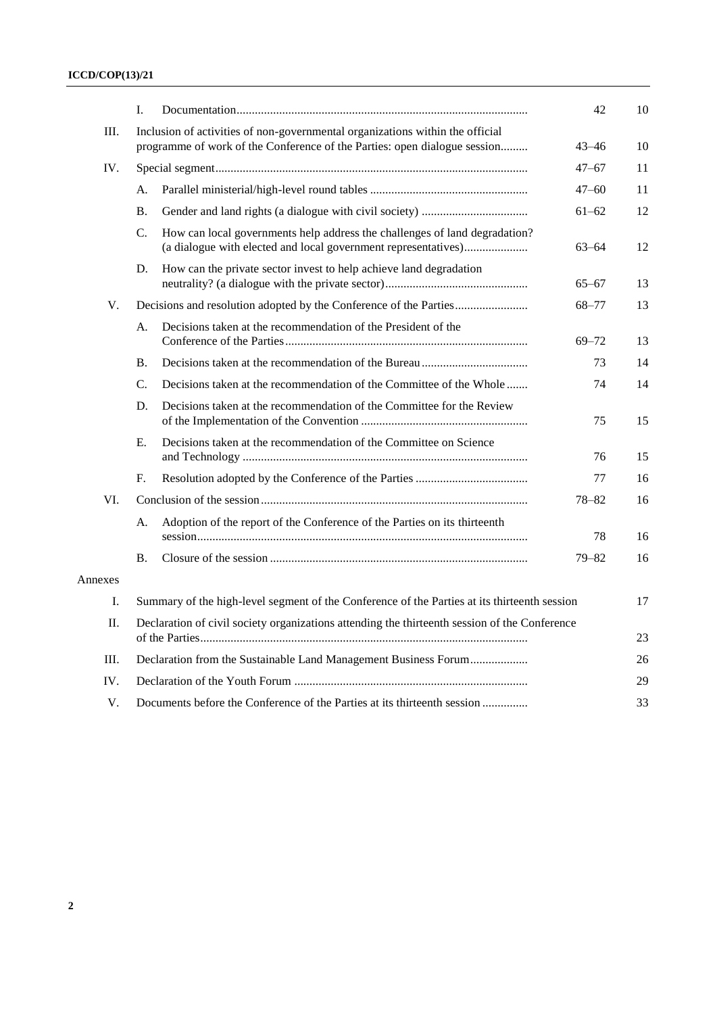### **ICCD/COP(13)/21**

|         | L.                                                                                            |                                                                                                                                              | 42        | 10 |
|---------|-----------------------------------------------------------------------------------------------|----------------------------------------------------------------------------------------------------------------------------------------------|-----------|----|
| III.    |                                                                                               | Inclusion of activities of non-governmental organizations within the official                                                                |           |    |
|         | programme of work of the Conference of the Parties: open dialogue session                     |                                                                                                                                              |           | 10 |
| IV.     |                                                                                               |                                                                                                                                              | $47 - 67$ | 11 |
|         | А.                                                                                            |                                                                                                                                              | $47 - 60$ | 11 |
|         | <b>B.</b>                                                                                     |                                                                                                                                              | $61 - 62$ | 12 |
|         | C.                                                                                            | How can local governments help address the challenges of land degradation?<br>(a dialogue with elected and local government representatives) | $63 - 64$ | 12 |
|         | D.                                                                                            | How can the private sector invest to help achieve land degradation                                                                           | $65 - 67$ | 13 |
| V.      | Decisions and resolution adopted by the Conference of the Parties                             |                                                                                                                                              | $68 - 77$ | 13 |
|         | А.                                                                                            | Decisions taken at the recommendation of the President of the                                                                                | $69 - 72$ | 13 |
|         | <b>B.</b>                                                                                     |                                                                                                                                              | 73        | 14 |
|         | C.                                                                                            | Decisions taken at the recommendation of the Committee of the Whole                                                                          | 74        | 14 |
|         | D.                                                                                            | Decisions taken at the recommendation of the Committee for the Review                                                                        | 75        | 15 |
|         | Ε.                                                                                            | Decisions taken at the recommendation of the Committee on Science                                                                            | 76        | 15 |
|         | F.                                                                                            |                                                                                                                                              | 77        | 16 |
| VI.     |                                                                                               |                                                                                                                                              |           | 16 |
|         | A.                                                                                            | Adoption of the report of the Conference of the Parties on its thirteenth                                                                    | 78        | 16 |
|         | <b>B.</b>                                                                                     |                                                                                                                                              | $79 - 82$ | 16 |
| Annexes |                                                                                               |                                                                                                                                              |           |    |
| I.      | Summary of the high-level segment of the Conference of the Parties at its thirteenth session  |                                                                                                                                              |           | 17 |
| П.      | Declaration of civil society organizations attending the thirteenth session of the Conference |                                                                                                                                              |           | 23 |
| Ш.      | Declaration from the Sustainable Land Management Business Forum                               |                                                                                                                                              |           | 26 |
| IV.     |                                                                                               |                                                                                                                                              |           | 29 |
| V.      | Documents before the Conference of the Parties at its thirteenth session                      |                                                                                                                                              |           | 33 |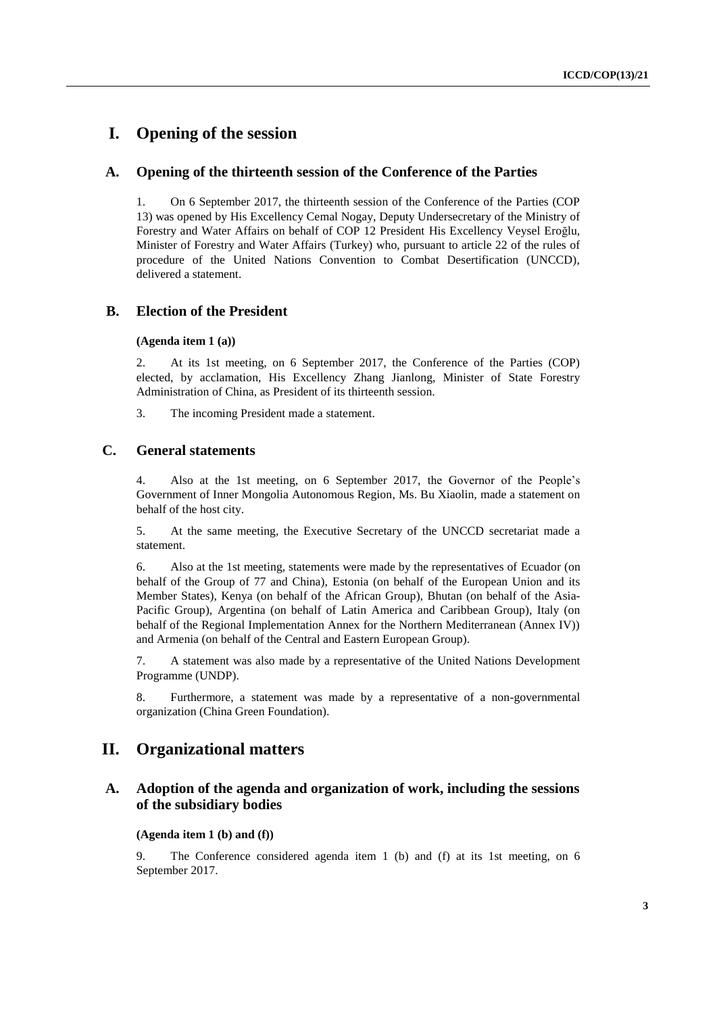## **I. Opening of the session**

#### **A. Opening of the thirteenth session of the Conference of the Parties**

1. On 6 September 2017, the thirteenth session of the Conference of the Parties (COP 13) was opened by His Excellency Cemal Nogay, Deputy Undersecretary of the Ministry of Forestry and Water Affairs on behalf of COP 12 President His Excellency Veysel Eroğlu, Minister of Forestry and Water Affairs (Turkey) who, pursuant to article 22 of the rules of procedure of the United Nations Convention to Combat Desertification (UNCCD), delivered a statement.

#### **B. Election of the President**

#### **(Agenda item 1 (a))**

2. At its 1st meeting, on 6 September 2017, the Conference of the Parties (COP) elected, by acclamation, His Excellency Zhang Jianlong, Minister of State Forestry Administration of China, as President of its thirteenth session.

3. The incoming President made a statement.

### **C. General statements**

4. Also at the 1st meeting, on 6 September 2017, the Governor of the People's Government of Inner Mongolia Autonomous Region, Ms. Bu Xiaolin, made a statement on behalf of the host city.

5. At the same meeting, the Executive Secretary of the UNCCD secretariat made a statement.

6. Also at the 1st meeting, statements were made by the representatives of Ecuador (on behalf of the Group of 77 and China), Estonia (on behalf of the European Union and its Member States), Kenya (on behalf of the African Group), Bhutan (on behalf of the Asia-Pacific Group), Argentina (on behalf of Latin America and Caribbean Group), Italy (on behalf of the Regional Implementation Annex for the Northern Mediterranean (Annex IV)) and Armenia (on behalf of the Central and Eastern European Group).

7. A statement was also made by a representative of the United Nations Development Programme (UNDP).

8. Furthermore, a statement was made by a representative of a non-governmental organization (China Green Foundation).

## **II. Organizational matters**

### **A. Adoption of the agenda and organization of work, including the sessions of the subsidiary bodies**

#### **(Agenda item 1 (b) and (f))**

9. The Conference considered agenda item 1 (b) and (f) at its 1st meeting, on 6 September 2017.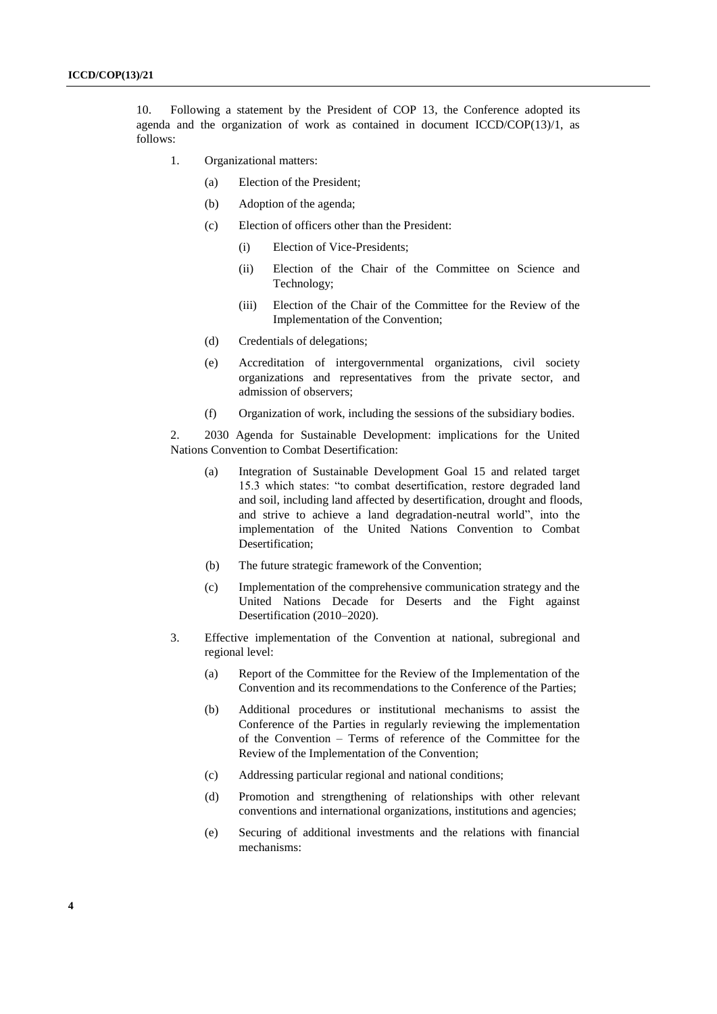10. Following a statement by the President of COP 13, the Conference adopted its agenda and the organization of work as contained in document ICCD/COP(13)/1, as follows:

- 1. Organizational matters:
	- (a) Election of the President;
	- (b) Adoption of the agenda;
	- (c) Election of officers other than the President:
		- (i) Election of Vice-Presidents;
		- (ii) Election of the Chair of the Committee on Science and Technology;
		- (iii) Election of the Chair of the Committee for the Review of the Implementation of the Convention;
	- (d) Credentials of delegations;
	- (e) Accreditation of intergovernmental organizations, civil society organizations and representatives from the private sector, and admission of observers;
	- (f) Organization of work, including the sessions of the subsidiary bodies.

2. 2030 Agenda for Sustainable Development: implications for the United Nations Convention to Combat Desertification:

- (a) Integration of Sustainable Development Goal 15 and related target 15.3 which states: "to combat desertification, restore degraded land and soil, including land affected by desertification, drought and floods, and strive to achieve a land degradation-neutral world", into the implementation of the United Nations Convention to Combat Desertification;
- (b) The future strategic framework of the Convention;
- (c) Implementation of the comprehensive communication strategy and the United Nations Decade for Deserts and the Fight against Desertification (2010–2020).
- 3. Effective implementation of the Convention at national, subregional and regional level:
	- (a) Report of the Committee for the Review of the Implementation of the Convention and its recommendations to the Conference of the Parties;
	- (b) Additional procedures or institutional mechanisms to assist the Conference of the Parties in regularly reviewing the implementation of the Convention – Terms of reference of the Committee for the Review of the Implementation of the Convention;
	- (c) Addressing particular regional and national conditions;
	- (d) Promotion and strengthening of relationships with other relevant conventions and international organizations, institutions and agencies;
	- (e) Securing of additional investments and the relations with financial mechanisms: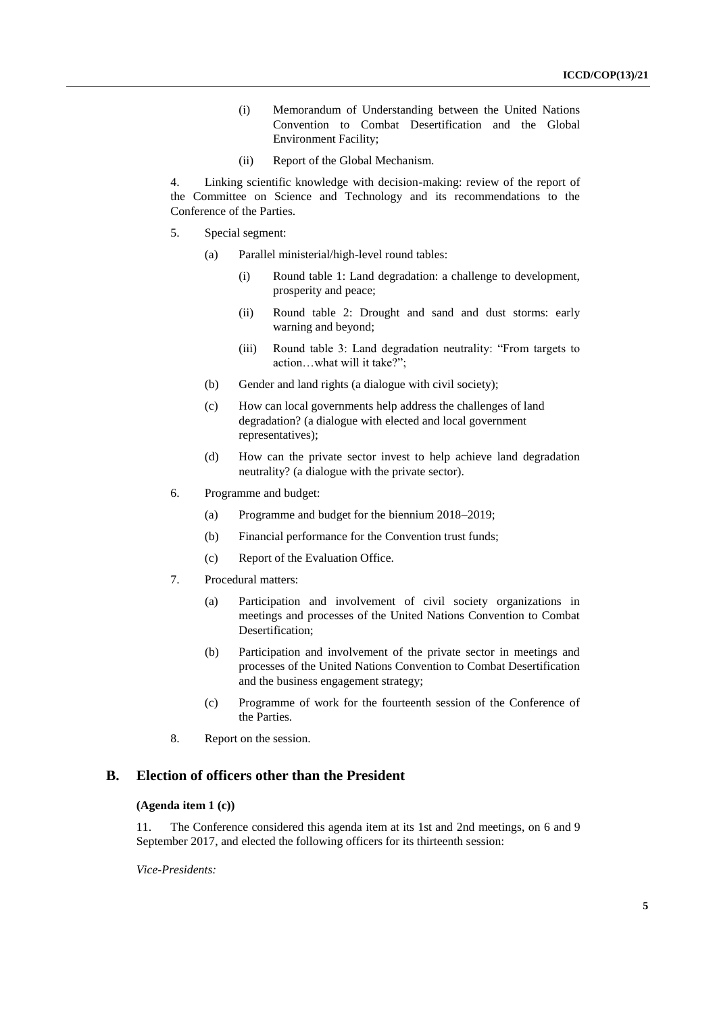- (i) Memorandum of Understanding between the United Nations Convention to Combat Desertification and the Global Environment Facility;
- (ii) Report of the Global Mechanism.

4. Linking scientific knowledge with decision-making: review of the report of the Committee on Science and Technology and its recommendations to the Conference of the Parties.

- 5. Special segment:
	- (a) Parallel ministerial/high-level round tables:
		- (i) Round table 1: Land degradation: a challenge to development, prosperity and peace;
		- (ii) Round table 2: Drought and sand and dust storms: early warning and beyond;
		- (iii) Round table 3: Land degradation neutrality: "From targets to action…what will it take?";
	- (b) Gender and land rights (a dialogue with civil society);
	- (c) How can local governments help address the challenges of land degradation? (a dialogue with elected and local government representatives);
	- (d) How can the private sector invest to help achieve land degradation neutrality? (a dialogue with the private sector).
- 6. Programme and budget:
	- (a) Programme and budget for the biennium 2018–2019;
	- (b) Financial performance for the Convention trust funds;
	- (c) Report of the Evaluation Office.
- 7. Procedural matters:
	- (a) Participation and involvement of civil society organizations in meetings and processes of the United Nations Convention to Combat Desertification;
	- (b) Participation and involvement of the private sector in meetings and processes of the United Nations Convention to Combat Desertification and the business engagement strategy;
	- (c) Programme of work for the fourteenth session of the Conference of the Parties.
- 8. Report on the session.

## **B. Election of officers other than the President**

#### **(Agenda item 1 (c))**

11. The Conference considered this agenda item at its 1st and 2nd meetings, on 6 and 9 September 2017, and elected the following officers for its thirteenth session:

*Vice-Presidents:*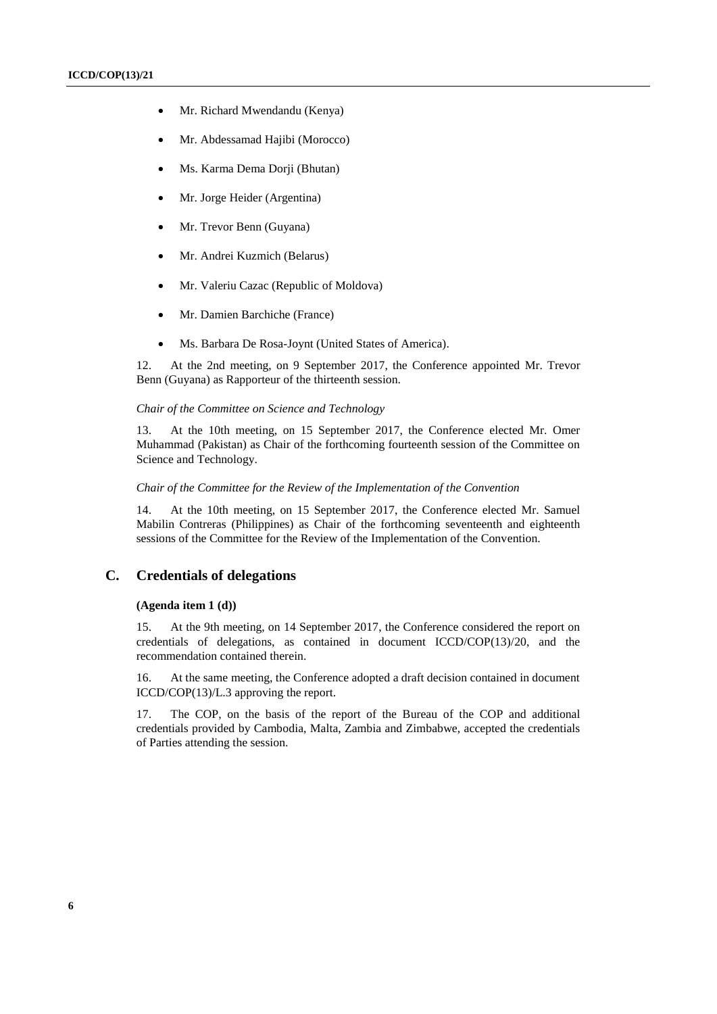- Mr. Richard Mwendandu (Kenya)
- Mr. Abdessamad Hajibi (Morocco)
- Ms. Karma Dema Dorji (Bhutan)
- Mr. Jorge Heider (Argentina)
- Mr. Trevor Benn (Guyana)
- Mr. Andrei Kuzmich (Belarus)
- Mr. Valeriu Cazac (Republic of Moldova)
- Mr. Damien Barchiche (France)
- Ms. Barbara De Rosa-Joynt (United States of America).

12. At the 2nd meeting, on 9 September 2017, the Conference appointed Mr. Trevor Benn (Guyana) as Rapporteur of the thirteenth session.

#### *Chair of the Committee on Science and Technology*

13. At the 10th meeting, on 15 September 2017, the Conference elected Mr. Omer Muhammad (Pakistan) as Chair of the forthcoming fourteenth session of the Committee on Science and Technology.

#### *Chair of the Committee for the Review of the Implementation of the Convention*

14. At the 10th meeting, on 15 September 2017, the Conference elected Mr. Samuel Mabilin Contreras (Philippines) as Chair of the forthcoming seventeenth and eighteenth sessions of the Committee for the Review of the Implementation of the Convention.

#### **C. Credentials of delegations**

#### **(Agenda item 1 (d))**

15. At the 9th meeting, on 14 September 2017, the Conference considered the report on credentials of delegations, as contained in document  $ICCD/COP(13)/20$ , and the recommendation contained therein.

16. At the same meeting, the Conference adopted a draft decision contained in document ICCD/COP(13)/L.3 approving the report.

17. The COP, on the basis of the report of the Bureau of the COP and additional credentials provided by Cambodia, Malta, Zambia and Zimbabwe, accepted the credentials of Parties attending the session.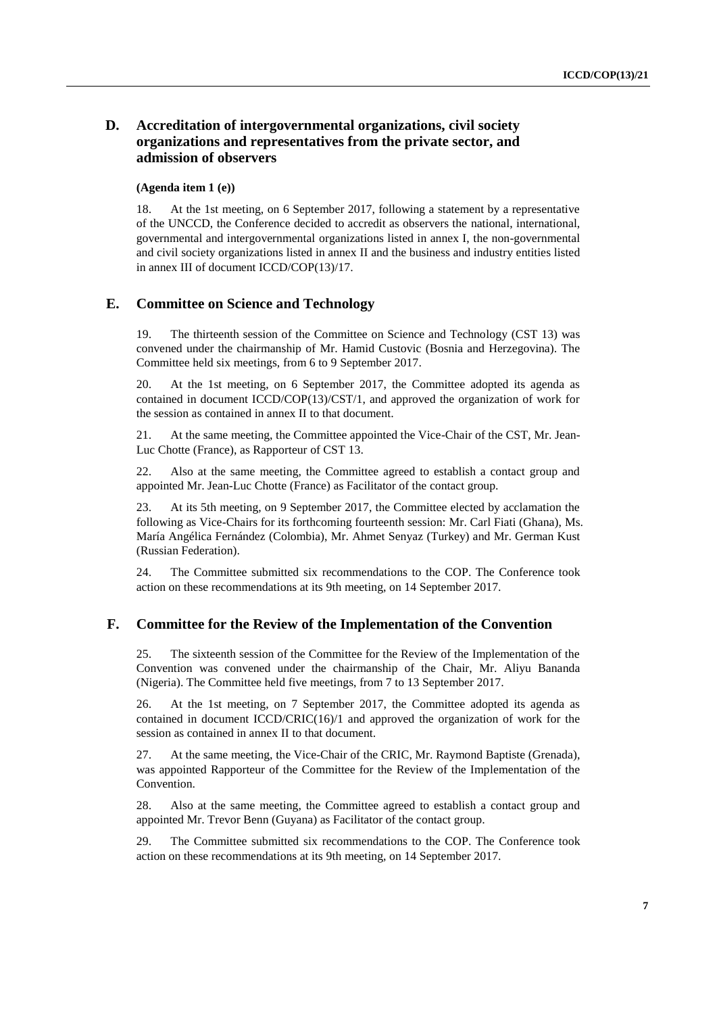### **D. Accreditation of intergovernmental organizations, civil society organizations and representatives from the private sector, and admission of observers**

#### **(Agenda item 1 (e))**

18. At the 1st meeting, on 6 September 2017, following a statement by a representative of the UNCCD, the Conference decided to accredit as observers the national, international, governmental and intergovernmental organizations listed in annex I, the non-governmental and civil society organizations listed in annex II and the business and industry entities listed in annex III of document ICCD/COP(13)/17.

#### **E. Committee on Science and Technology**

19. The thirteenth session of the Committee on Science and Technology (CST 13) was convened under the chairmanship of Mr. Hamid Custovic (Bosnia and Herzegovina). The Committee held six meetings, from 6 to 9 September 2017.

20. At the 1st meeting, on 6 September 2017, the Committee adopted its agenda as contained in document ICCD/COP(13)/CST/1, and approved the organization of work for the session as contained in annex II to that document.

21. At the same meeting, the Committee appointed the Vice-Chair of the CST, Mr. Jean-Luc Chotte (France), as Rapporteur of CST 13.

22. Also at the same meeting, the Committee agreed to establish a contact group and appointed Mr. Jean-Luc Chotte (France) as Facilitator of the contact group.

23. At its 5th meeting, on 9 September 2017, the Committee elected by acclamation the following as Vice-Chairs for its forthcoming fourteenth session: Mr. Carl Fiati (Ghana), Ms. María Angélica Fernández (Colombia), Mr. Ahmet Senyaz (Turkey) and Mr. German Kust (Russian Federation).

24. The Committee submitted six recommendations to the COP. The Conference took action on these recommendations at its 9th meeting, on 14 September 2017.

#### **F. Committee for the Review of the Implementation of the Convention**

25. The sixteenth session of the Committee for the Review of the Implementation of the Convention was convened under the chairmanship of the Chair, Mr. Aliyu Bananda (Nigeria). The Committee held five meetings, from 7 to 13 September 2017.

26. At the 1st meeting, on 7 September 2017, the Committee adopted its agenda as contained in document ICCD/CRIC(16)/1 and approved the organization of work for the session as contained in annex II to that document.

27. At the same meeting, the Vice-Chair of the CRIC, Mr. Raymond Baptiste (Grenada), was appointed Rapporteur of the Committee for the Review of the Implementation of the Convention.

28. Also at the same meeting, the Committee agreed to establish a contact group and appointed Mr. Trevor Benn (Guyana) as Facilitator of the contact group.

29. The Committee submitted six recommendations to the COP. The Conference took action on these recommendations at its 9th meeting, on 14 September 2017.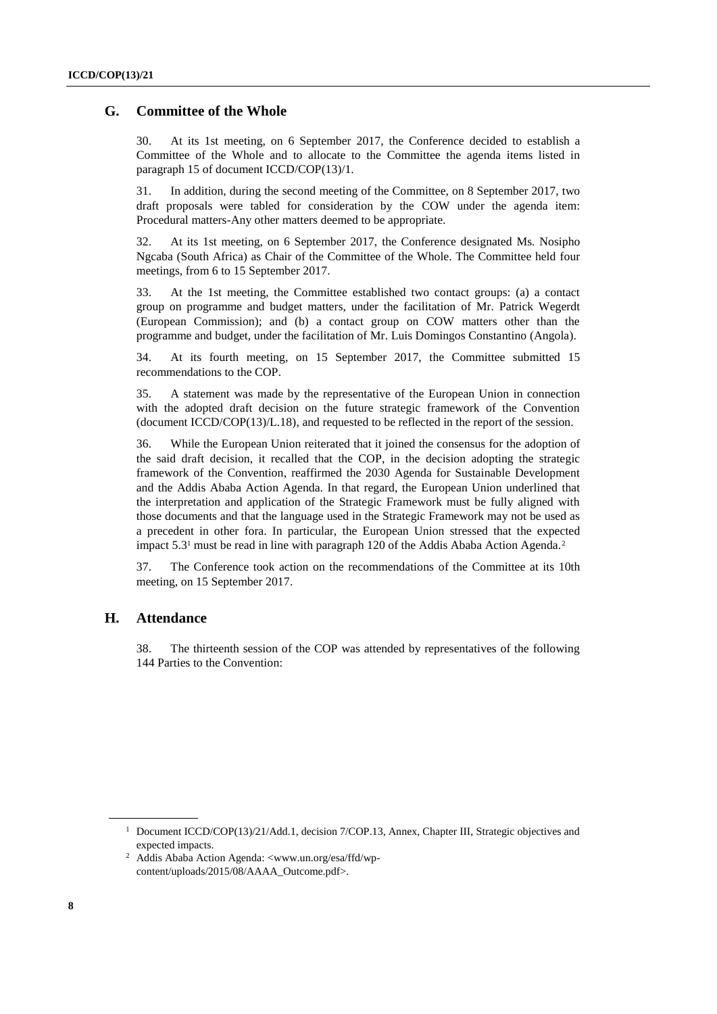#### **G. Committee of the Whole**

30. At its 1st meeting, on 6 September 2017, the Conference decided to establish a Committee of the Whole and to allocate to the Committee the agenda items listed in paragraph 15 of document ICCD/COP(13)/1.

31. In addition, during the second meeting of the Committee, on 8 September 2017, two draft proposals were tabled for consideration by the COW under the agenda item: Procedural matters-Any other matters deemed to be appropriate.

32. At its 1st meeting, on 6 September 2017, the Conference designated Ms. Nosipho Ngcaba (South Africa) as Chair of the Committee of the Whole. The Committee held four meetings, from 6 to 15 September 2017.

33. At the 1st meeting, the Committee established two contact groups: (a) a contact group on programme and budget matters, under the facilitation of Mr. Patrick Wegerdt (European Commission); and (b) a contact group on COW matters other than the programme and budget, under the facilitation of Mr. Luis Domingos Constantino (Angola).

34. At its fourth meeting, on 15 September 2017, the Committee submitted 15 recommendations to the COP.

35. A statement was made by the representative of the European Union in connection with the adopted draft decision on the future strategic framework of the Convention (document ICCD/COP(13)/L.18), and requested to be reflected in the report of the session.

36. While the European Union reiterated that it joined the consensus for the adoption of the said draft decision, it recalled that the COP, in the decision adopting the strategic framework of the Convention, reaffirmed the 2030 Agenda for Sustainable Development and the Addis Ababa Action Agenda. In that regard, the European Union underlined that the interpretation and application of the Strategic Framework must be fully aligned with those documents and that the language used in the Strategic Framework may not be used as a precedent in other fora. In particular, the European Union stressed that the expected impact 5.3<sup>1</sup> must be read in line with paragraph 120 of the Addis Ababa Action Agenda.<sup>2</sup>

37. The Conference took action on the recommendations of the Committee at its 10th meeting, on 15 September 2017.

### **H. Attendance**

38. The thirteenth session of the COP was attended by representatives of the following 144 Parties to the Convention:

<sup>&</sup>lt;sup>1</sup> Document ICCD/COP(13)/21/Add.1, decision 7/COP.13, Annex, Chapter III, Strategic objectives and expected impacts.

<sup>2</sup> Addis Ababa Action Agenda: <www.un.org/esa/ffd/wpcontent/uploads/2015/08/AAAA\_Outcome.pdf>.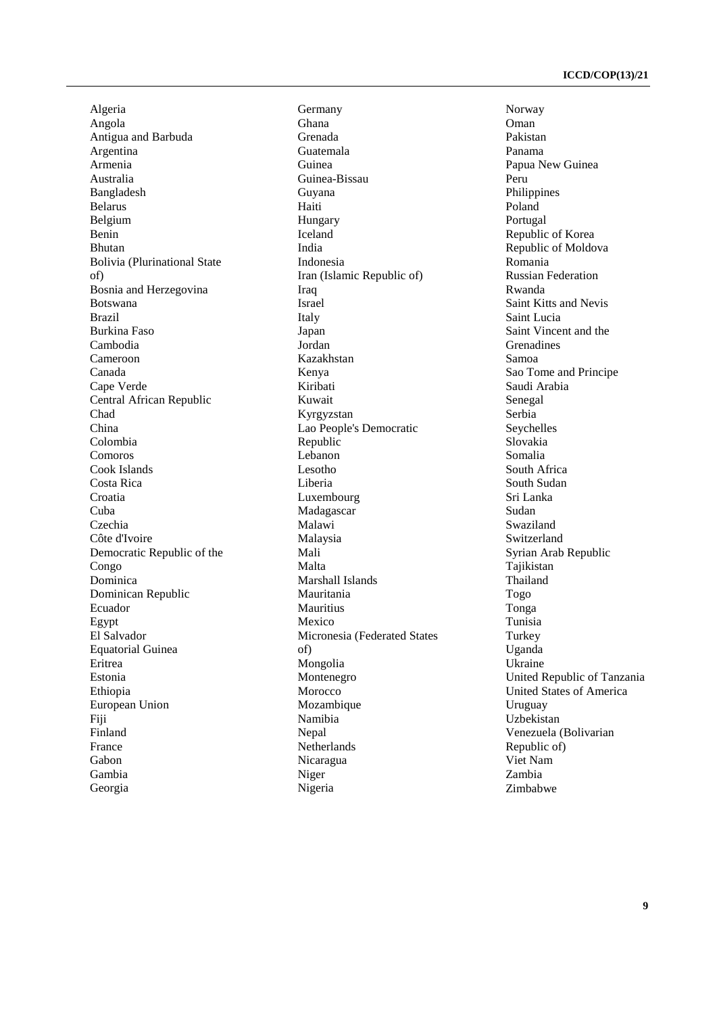Algeria Angola Antigua and Barbuda Argentina Armenia Australia Bangladesh Belarus Belgium Benin Bhutan Bolivia (Plurinational State of) Bosnia and Herzegovina Botswana Brazil Burkina Faso Cambodia Cameroon Canada Cape Verde Central African Republic Chad China Colombia Comoros Cook Islands Costa Rica Croatia Cuba Czechia Côte d'Ivoire Democratic Republic of the Congo Dominica Dominican Republic Ecuador Egypt El Salvador Equatorial Guinea Eritrea Estonia Ethiopia European Union Fiji Finland France Gabon Gambia Georgia

Germany Ghana Grenada Guatemala Guinea Guinea-Bissau Guyana Haiti Hungary Iceland India Indonesia Iran (Islamic Republic of) Iraq Israel Italy Japan Jordan Kazakhstan Kenya Kiribati Kuwait Kyrgyzstan Lao People's Democratic Republic Lebanon Lesotho Liberia Luxembourg Madagascar Malawi Malaysia Mali Malta Marshall Islands Mauritania Mauritius Mexico Micronesia (Federated States of) Mongolia Montenegro Morocco Mozambique Namibia Nepal Netherlands Nicaragua Niger Nigeria

Norway Oman Pakistan Panama Papua New Guinea Peru Philippines Poland Portugal Republic of Korea Republic of Moldova Romania Russian Federation Rwanda Saint Kitts and Nevis Saint Lucia Saint Vincent and the Grenadines Samoa Sao Tome and Principe Saudi Arabia Senegal Serbia Seychelles Slovakia Somalia South Africa South Sudan Sri Lanka Sudan Swaziland Switzerland Syrian Arab Republic Tajikistan Thailand Togo Tonga Tunisia Turkey Uganda Ukraine United Republic of Tanzania United States of America Uruguay Uzbekistan Venezuela (Bolivarian Republic of) Viet Nam Zambia Zimbabwe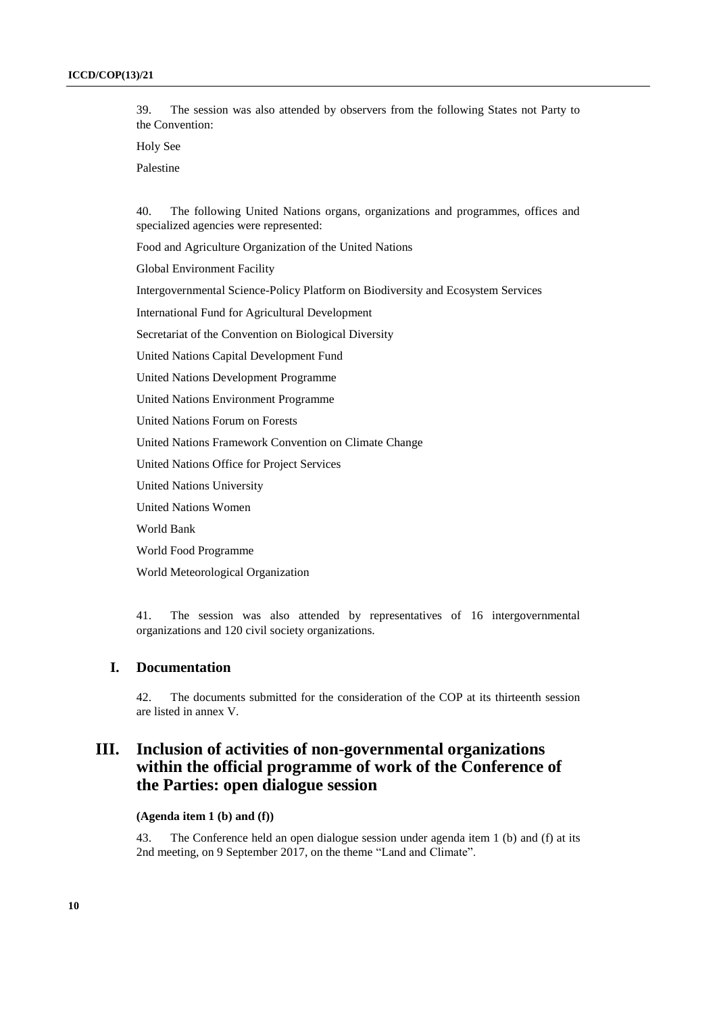39. The session was also attended by observers from the following States not Party to the Convention:

Holy See

Palestine

40. The following United Nations organs, organizations and programmes, offices and specialized agencies were represented:

Food and Agriculture Organization of the United Nations

Global Environment Facility

Intergovernmental Science-Policy Platform on Biodiversity and Ecosystem Services

International Fund for Agricultural Development

Secretariat of the Convention on Biological Diversity

United Nations Capital Development Fund

United Nations Development Programme

United Nations Environment Programme

United Nations Forum on Forests

United Nations Framework Convention on Climate Change

United Nations Office for Project Services

United Nations University

United Nations Women

World Bank

World Food Programme

World Meteorological Organization

41. The session was also attended by representatives of 16 intergovernmental organizations and 120 civil society organizations.

### **I. Documentation**

42. The documents submitted for the consideration of the COP at its thirteenth session are listed in annex V.

## **III. Inclusion of activities of non-governmental organizations within the official programme of work of the Conference of the Parties: open dialogue session**

**(Agenda item 1 (b) and (f))**

43. The Conference held an open dialogue session under agenda item 1 (b) and (f) at its 2nd meeting, on 9 September 2017, on the theme "Land and Climate".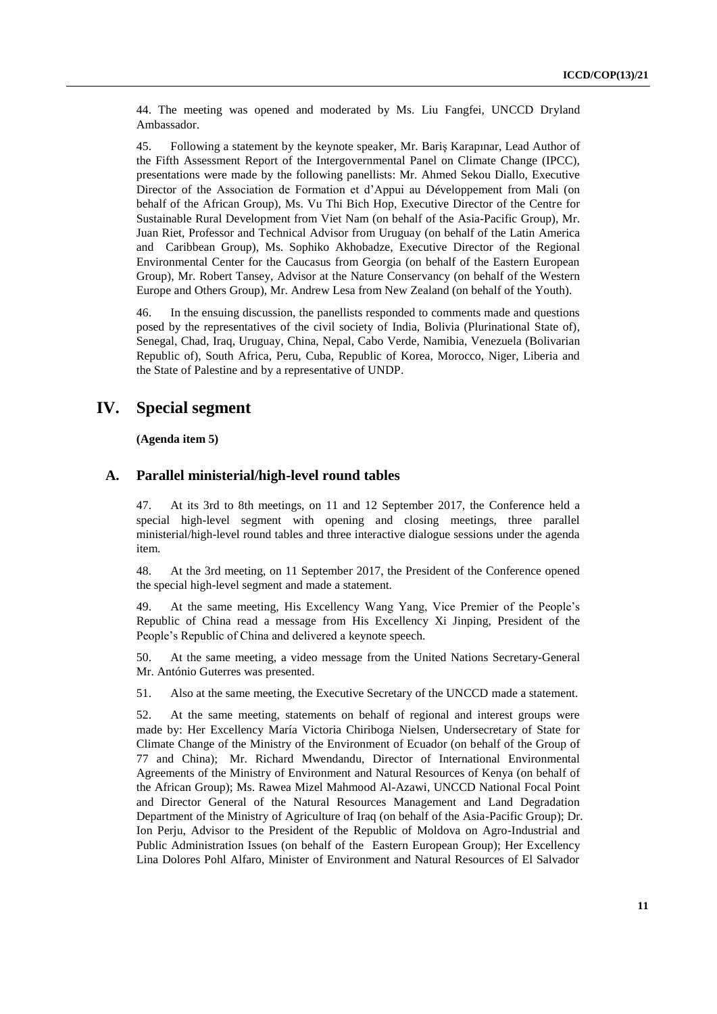44. The meeting was opened and moderated by Ms. Liu Fangfei, UNCCD Dryland Ambassador.

45. Following a statement by the keynote speaker, Mr. Bariş Karapınar, Lead Author of the Fifth Assessment Report of the Intergovernmental Panel on Climate Change (IPCC), presentations were made by the following panellists: Mr. Ahmed Sekou Diallo, Executive Director of the Association de Formation et d'Appui au Développement from Mali (on behalf of the African Group), Ms. Vu Thi Bich Hop, Executive Director of the Centre for Sustainable Rural Development from Viet Nam (on behalf of the Asia-Pacific Group), Mr. Juan Riet, Professor and Technical Advisor from Uruguay (on behalf of the Latin America and Caribbean Group), Ms. Sophiko Akhobadze, Executive Director of the Regional Environmental Center for the Caucasus from Georgia (on behalf of the Eastern European Group), Mr. Robert Tansey, Advisor at the Nature Conservancy (on behalf of the Western Europe and Others Group), Mr. Andrew Lesa from New Zealand (on behalf of the Youth).

46. In the ensuing discussion, the panellists responded to comments made and questions posed by the representatives of the civil society of India, [Bolivia \(Plurinational State of\),](http://data.un.org/CountryProfile.aspx?crName=Bolivia%20%28Plurinational%20State%20of%29) Senegal, Chad, Iraq, Uruguay, China, Nepal, Cabo Verde, Namibia, Venezuela (Bolivarian Republic of), South Africa, Peru, Cuba, Republic of Korea, Morocco, Niger, Liberia and the State of Palestine and by a representative of UNDP.

## **IV. Special segment**

**(Agenda item 5)**

#### **A. Parallel ministerial/high-level round tables**

47. At its 3rd to 8th meetings, on 11 and 12 September 2017, the Conference held a special high-level segment with opening and closing meetings, three parallel ministerial/high-level round tables and three interactive dialogue sessions under the agenda item.

48. At the 3rd meeting, on 11 September 2017, the President of the Conference opened the special high-level segment and made a statement.

49. At the same meeting, His Excellency Wang Yang, Vice Premier of the People's Republic of China read a message from His Excellency Xi Jinping, President of the People's Republic of China and delivered a keynote speech.

50. At the same meeting, a video message from the United Nations Secretary-General Mr. António Guterres was presented.

51. Also at the same meeting, the Executive Secretary of the UNCCD made a statement.

52. At the same meeting, statements on behalf of regional and interest groups were made by: Her Excellency María Victoria Chiriboga Nielsen, Undersecretary of State for Climate Change of the Ministry of the Environment of Ecuador (on behalf of the Group of 77 and China); Mr. Richard Mwendandu, Director of International Environmental Agreements of the Ministry of Environment and Natural Resources of Kenya (on behalf of the African Group); Ms. Rawea Mizel Mahmood Al-Azawi, UNCCD National Focal Point and Director General of the Natural Resources Management and Land Degradation Department of the Ministry of Agriculture of Iraq (on behalf of the Asia-Pacific Group); Dr. Ion Perju, Advisor to the President of the Republic of Moldova on Agro-Industrial and Public Administration Issues (on behalf of the Eastern European Group); Her Excellency Lina Dolores Pohl Alfaro, Minister of Environment and Natural Resources of El Salvador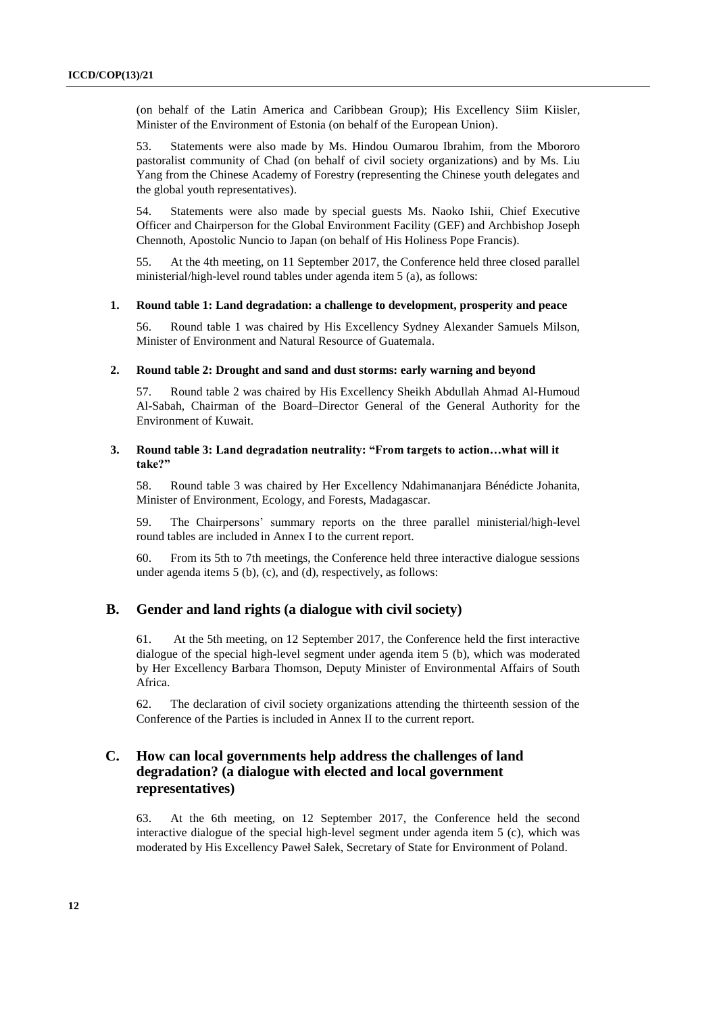(on behalf of the Latin America and Caribbean Group); His Excellency Siim Kiisler, Minister of the Environment of Estonia (on behalf of the European Union).

53. Statements were also made by Ms. Hindou Oumarou Ibrahim, from the Mbororo pastoralist community of Chad (on behalf of civil society organizations) and by Ms. Liu Yang from the Chinese Academy of Forestry (representing the Chinese youth delegates and the global youth representatives).

54. Statements were also made by special guests Ms. Naoko Ishii, Chief Executive Officer and Chairperson for the Global Environment Facility (GEF) and Archbishop Joseph Chennoth, Apostolic Nuncio to Japan (on behalf of His Holiness Pope Francis).

55. At the 4th meeting, on 11 September 2017, the Conference held three closed parallel ministerial/high-level round tables under agenda item 5 (a), as follows:

#### **1. Round table 1: Land degradation: a challenge to development, prosperity and peace**

56. Round table 1 was chaired by His Excellency Sydney Alexander Samuels Milson, Minister of Environment and Natural Resource of Guatemala.

#### **2. Round table 2: Drought and sand and dust storms: early warning and beyond**

57. Round table 2 was chaired by His Excellency Sheikh Abdullah Ahmad Al-Humoud Al-Sabah, Chairman of the Board–Director General of the General Authority for the Environment of Kuwait.

#### **3. Round table 3: Land degradation neutrality: "From targets to action…what will it take?"**

58. Round table 3 was chaired by Her Excellency Ndahimananjara Bénédicte Johanita, Minister of Environment, Ecology, and Forests, Madagascar.

59. The Chairpersons' summary reports on the three parallel ministerial/high-level round tables are included in Annex I to the current report.

60. From its 5th to 7th meetings, the Conference held three interactive dialogue sessions under agenda items 5 (b), (c), and (d), respectively, as follows:

### **B. Gender and land rights (a dialogue with civil society)**

61. At the 5th meeting, on 12 September 2017, the Conference held the first interactive dialogue of the special high-level segment under agenda item 5 (b), which was moderated by Her Excellency Barbara Thomson, Deputy Minister of Environmental Affairs of South Africa.

62. The declaration of civil society organizations attending the thirteenth session of the Conference of the Parties is included in Annex II to the current report.

### **C. How can local governments help address the challenges of land degradation? (a dialogue with elected and local government representatives)**

63. At the 6th meeting, on 12 September 2017, the Conference held the second interactive dialogue of the special high-level segment under agenda item 5 (c), which was moderated by His Excellency Paweł Sałek, Secretary of State for Environment of Poland.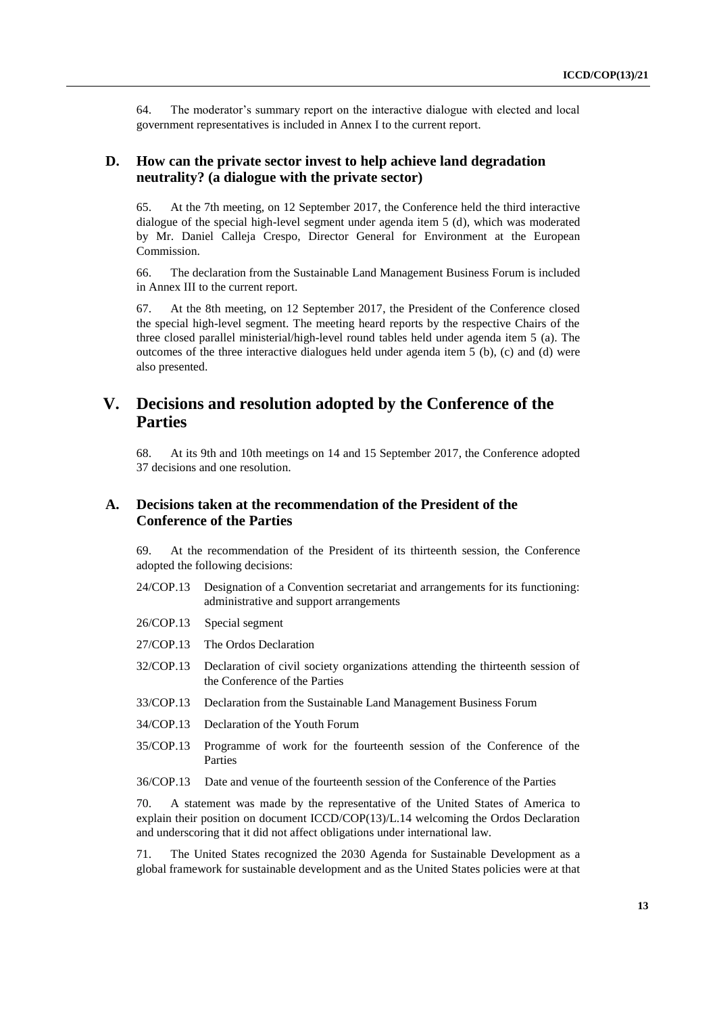64. The moderator's summary report on the interactive dialogue with elected and local government representatives is included in Annex I to the current report.

### **D. How can the private sector invest to help achieve land degradation neutrality? (a dialogue with the private sector)**

65. At the 7th meeting, on 12 September 2017, the Conference held the third interactive dialogue of the special high-level segment under agenda item 5 (d), which was moderated by Mr. Daniel Calleja Crespo, Director General for Environment at the European Commission.

66. The declaration from the Sustainable Land Management Business Forum is included in Annex III to the current report.

67. At the 8th meeting, on 12 September 2017, the President of the Conference closed the special high-level segment. The meeting heard reports by the respective Chairs of the three closed parallel ministerial/high-level round tables held under agenda item 5 (a). The outcomes of the three interactive dialogues held under agenda item 5 (b), (c) and (d) were also presented.

## **V. Decisions and resolution adopted by the Conference of the Parties**

68. At its 9th and 10th meetings on 14 and 15 September 2017, the Conference adopted 37 decisions and one resolution.

### **A. Decisions taken at the recommendation of the President of the Conference of the Parties**

69. At the recommendation of the President of its thirteenth session, the Conference adopted the following decisions:

- 24/COP.13 Designation of a Convention secretariat and arrangements for its functioning: administrative and support arrangements
- 26/COP.13 Special segment
- 27/COP.13 The Ordos Declaration
- 32/COP.13 Declaration of civil society organizations attending the thirteenth session of the Conference of the Parties
- 33/COP.13 Declaration from the Sustainable Land Management Business Forum
- 34/COP.13 Declaration of the Youth Forum
- 35/COP.13 Programme of work for the fourteenth session of the Conference of the Parties

36/COP.13 Date and venue of the fourteenth session of the Conference of the Parties

70. A statement was made by the representative of the United States of America to explain their position on document ICCD/COP(13)/L.14 welcoming the Ordos Declaration and underscoring that it did not affect obligations under international law.

71. The United States recognized the 2030 Agenda for Sustainable Development as a global framework for sustainable development and as the United States policies were at that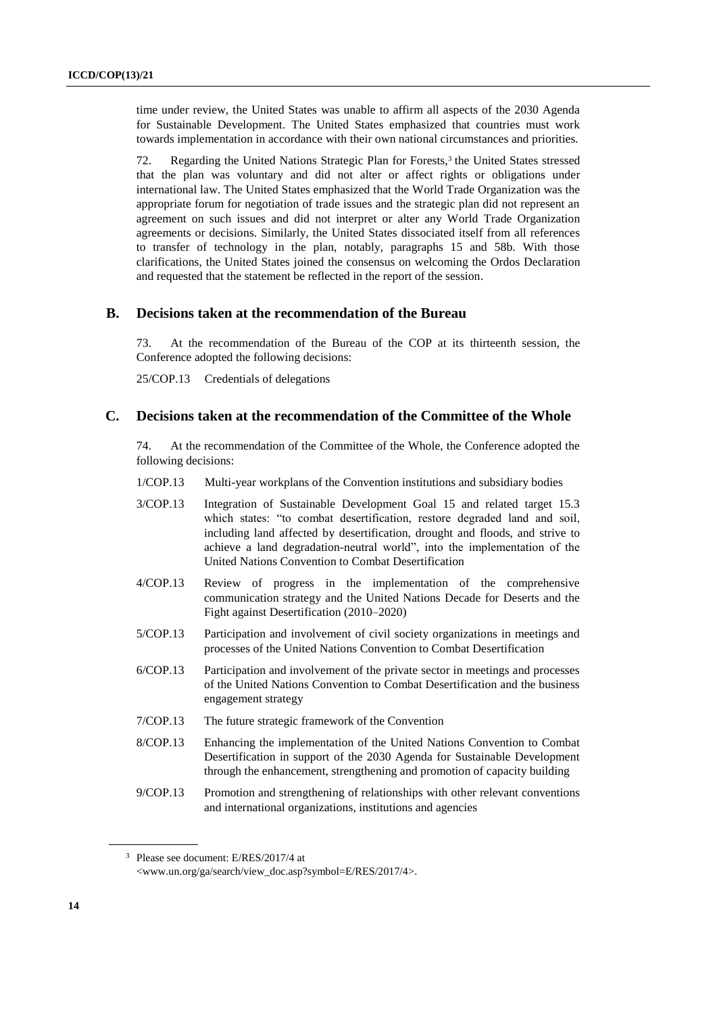time under review, the United States was unable to affirm all aspects of the 2030 Agenda for Sustainable Development. The United States emphasized that countries must work towards implementation in accordance with their own national circumstances and priorities.

72. Regarding the United Nations Strategic Plan for Forests, 3 the United States stressed that the plan was voluntary and did not alter or affect rights or obligations under international law. The United States emphasized that the World Trade Organization was the appropriate forum for negotiation of trade issues and the strategic plan did not represent an agreement on such issues and did not interpret or alter any World Trade Organization agreements or decisions. Similarly, the United States dissociated itself from all references to transfer of technology in the plan, notably, paragraphs 15 and 58b. With those clarifications, the United States joined the consensus on welcoming the Ordos Declaration and requested that the statement be reflected in the report of the session.

#### **B. Decisions taken at the recommendation of the Bureau**

73. At the recommendation of the Bureau of the COP at its thirteenth session, the Conference adopted the following decisions:

25/COP.13 Credentials of delegations

### **C. Decisions taken at the recommendation of the Committee of the Whole**

74. At the recommendation of the Committee of the Whole, the Conference adopted the following decisions:

- 1/COP.13 Multi-year workplans of the Convention institutions and subsidiary bodies
- 3/COP.13 Integration of Sustainable Development Goal 15 and related target 15.3 which states: "to combat desertification, restore degraded land and soil, including land affected by desertification, drought and floods, and strive to achieve a land degradation-neutral world", into the implementation of the United Nations Convention to Combat Desertification
- 4/COP.13 Review of progress in the implementation of the comprehensive communication strategy and the United Nations Decade for Deserts and the Fight against Desertification (2010–2020)
- 5/COP.13 Participation and involvement of civil society organizations in meetings and processes of the United Nations Convention to Combat Desertification
- 6/COP.13 Participation and involvement of the private sector in meetings and processes of the United Nations Convention to Combat Desertification and the business engagement strategy
- 7/COP.13 The future strategic framework of the Convention
- 8/COP.13 Enhancing the implementation of the United Nations Convention to Combat Desertification in support of the 2030 Agenda for Sustainable Development through the enhancement, strengthening and promotion of capacity building
- 9/COP.13 Promotion and strengthening of relationships with other relevant conventions and international organizations, institutions and agencies

<sup>3</sup> Please see document: E/RES/2017/4 at [<www.un.org/ga/search/view\\_doc.asp?symbol=E/RES/2017/4>](http://www.un.org/ga/search/view_doc.asp?symbol=E/RES/2017/4).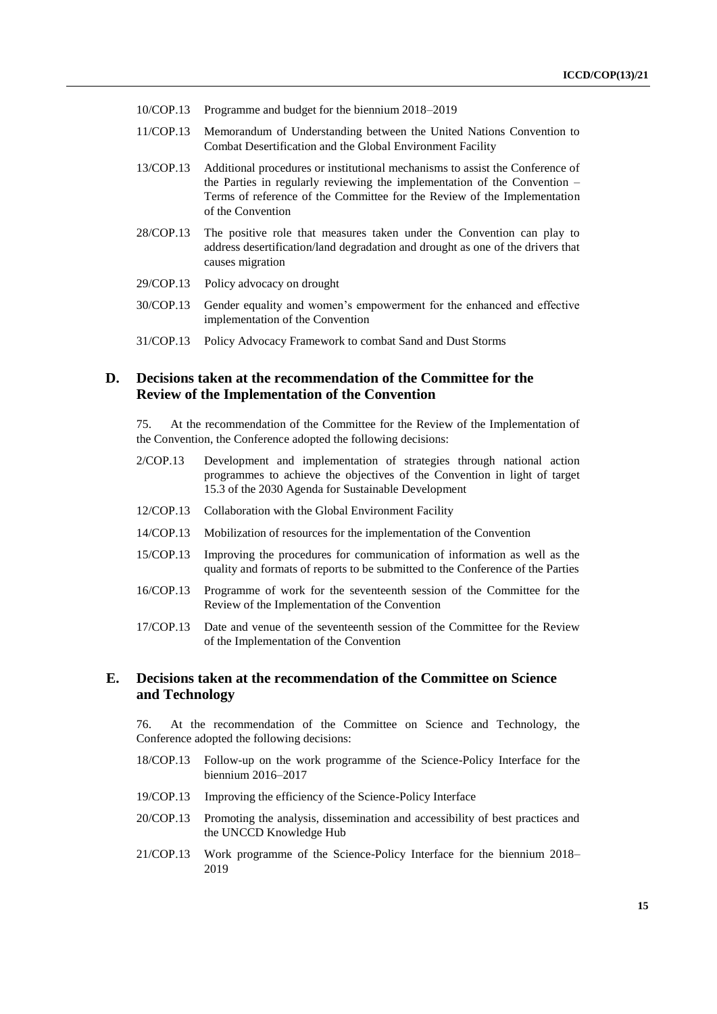- 10/COP.13 Programme and budget for the biennium 2018–2019
- 11/COP.13 Memorandum of Understanding between the United Nations Convention to Combat Desertification and the Global Environment Facility
- 13/COP.13 Additional procedures or institutional mechanisms to assist the Conference of the Parties in regularly reviewing the implementation of the Convention – Terms of reference of the Committee for the Review of the Implementation of the Convention
- 28/COP.13 The positive role that measures taken under the Convention can play to address desertification/land degradation and drought as one of the drivers that causes migration
- 29/COP.13 Policy advocacy on drought
- 30/COP.13 Gender equality and women's empowerment for the enhanced and effective implementation of the Convention
- 31/COP.13 Policy Advocacy Framework to combat Sand and Dust Storms

### **D. Decisions taken at the recommendation of the Committee for the Review of the Implementation of the Convention**

75. At the recommendation of the Committee for the Review of the Implementation of the Convention, the Conference adopted the following decisions:

- 2/COP.13 Development and implementation of strategies through national action programmes to achieve the objectives of the Convention in light of target 15.3 of the 2030 Agenda for Sustainable Development
- 12/COP.13 Collaboration with the Global Environment Facility
- 14/COP.13 Mobilization of resources for the implementation of the Convention
- 15/COP.13 Improving the procedures for communication of information as well as the quality and formats of reports to be submitted to the Conference of the Parties
- 16/COP.13 Programme of work for the seventeenth session of the Committee for the Review of the Implementation of the Convention
- 17/COP.13 Date and venue of the seventeenth session of the Committee for the Review of the Implementation of the Convention

### **E. Decisions taken at the recommendation of the Committee on Science and Technology**

76. At the recommendation of the Committee on Science and Technology, the Conference adopted the following decisions:

- 18/COP.13 Follow-up on the work programme of the Science-Policy Interface for the biennium 2016–2017
- 19/COP.13 Improving the efficiency of the Science-Policy Interface
- 20/COP.13 Promoting the analysis, dissemination and accessibility of best practices and the UNCCD Knowledge Hub
- 21/COP.13 Work programme of the Science-Policy Interface for the biennium 2018– 2019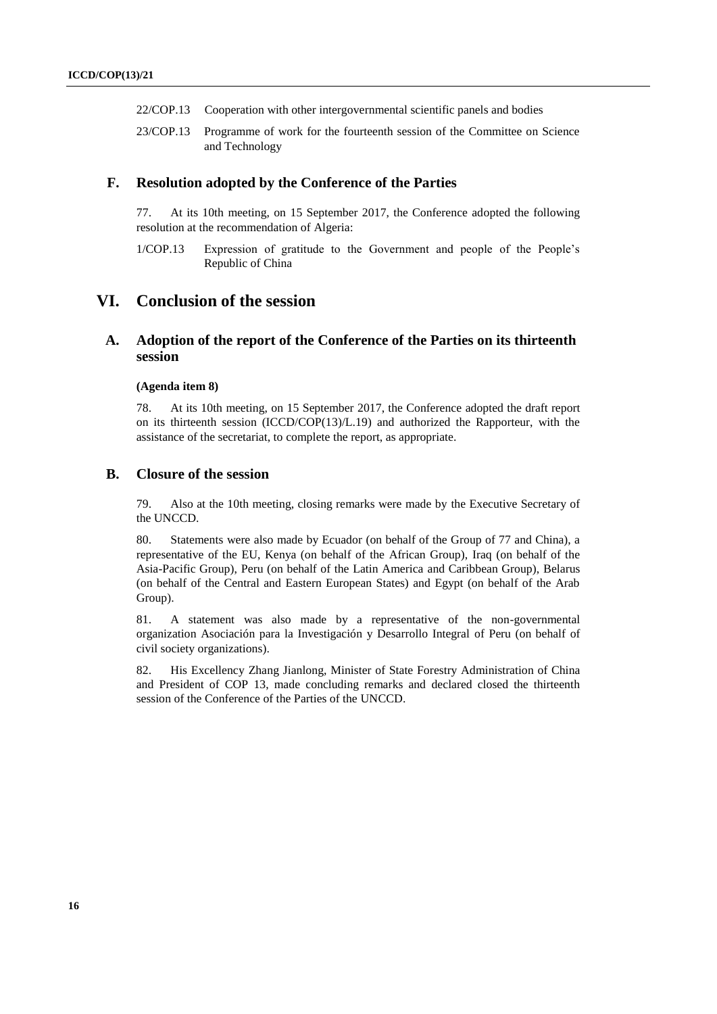- 22/COP.13 Cooperation with other intergovernmental scientific panels and bodies
- 23/COP.13 Programme of work for the fourteenth session of the Committee on Science and Technology

#### **F. Resolution adopted by the Conference of the Parties**

77. At its 10th meeting, on 15 September 2017, the Conference adopted the following resolution at the recommendation of Algeria:

1/COP.13 Expression of gratitude to the Government and people of the People's Republic of China

## **VI. Conclusion of the session**

### **A. Adoption of the report of the Conference of the Parties on its thirteenth session**

#### **(Agenda item 8)**

78. At its 10th meeting, on 15 September 2017, the Conference adopted the draft report on its thirteenth session (ICCD/COP(13)/L.19) and authorized the Rapporteur, with the assistance of the secretariat, to complete the report, as appropriate.

#### **B. Closure of the session**

79. Also at the 10th meeting, closing remarks were made by the Executive Secretary of the UNCCD.

80. Statements were also made by Ecuador (on behalf of the Group of 77 and China), a representative of the EU, Kenya (on behalf of the African Group), Iraq (on behalf of the Asia-Pacific Group), Peru (on behalf of the Latin America and Caribbean Group), Belarus (on behalf of the Central and Eastern European States) and Egypt (on behalf of the Arab Group).

81. A statement was also made by a representative of the non-governmental organization Asociación para la Investigación y Desarrollo Integral of Peru (on behalf of civil society organizations).

82. His Excellency Zhang Jianlong, Minister of State Forestry Administration of China and President of COP 13, made concluding remarks and declared closed the thirteenth session of the Conference of the Parties of the UNCCD.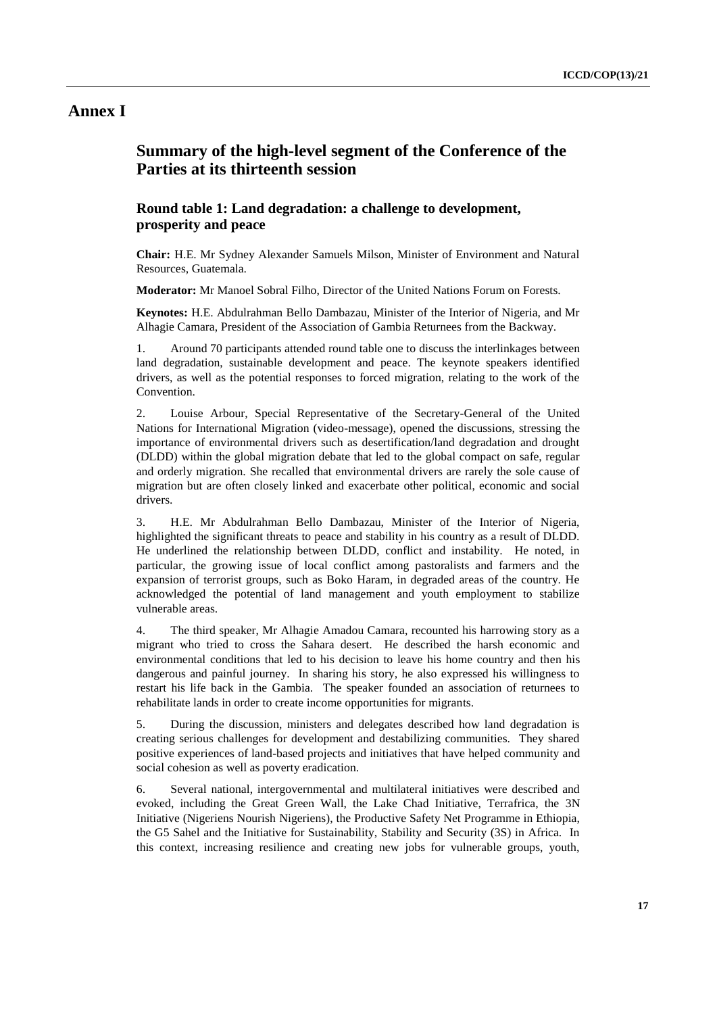### **Annex I**

## **Summary of the high-level segment of the Conference of the Parties at its thirteenth session**

### **Round table 1: Land degradation: a challenge to development, prosperity and peace**

**Chair:** H.E. Mr Sydney Alexander Samuels Milson, Minister of Environment and Natural Resources, Guatemala.

**Moderator:** Mr Manoel Sobral Filho, Director of the United Nations Forum on Forests.

**Keynotes:** H.E. Abdulrahman Bello Dambazau, Minister of the Interior of Nigeria, and Mr Alhagie Camara, President of the Association of Gambia Returnees from the Backway.

1. Around 70 participants attended round table one to discuss the interlinkages between land degradation, sustainable development and peace. The keynote speakers identified drivers, as well as the potential responses to forced migration, relating to the work of the Convention.

2. Louise Arbour, Special Representative of the Secretary-General of the United Nations for International Migration (video-message), opened the discussions, stressing the importance of environmental drivers such as desertification/land degradation and drought (DLDD) within the global migration debate that led to the global compact on safe, regular and orderly migration. She recalled that environmental drivers are rarely the sole cause of migration but are often closely linked and exacerbate other political, economic and social drivers.

3. H.E. Mr Abdulrahman Bello Dambazau, Minister of the Interior of Nigeria, highlighted the significant threats to peace and stability in his country as a result of DLDD. He underlined the relationship between DLDD, conflict and instability. He noted, in particular, the growing issue of local conflict among pastoralists and farmers and the expansion of terrorist groups, such as Boko Haram, in degraded areas of the country. He acknowledged the potential of land management and youth employment to stabilize vulnerable areas.

4. The third speaker, Mr Alhagie Amadou Camara, recounted his harrowing story as a migrant who tried to cross the Sahara desert. He described the harsh economic and environmental conditions that led to his decision to leave his home country and then his dangerous and painful journey. In sharing his story, he also expressed his willingness to restart his life back in the Gambia. The speaker founded an association of returnees to rehabilitate lands in order to create income opportunities for migrants.

5. During the discussion, ministers and delegates described how land degradation is creating serious challenges for development and destabilizing communities. They shared positive experiences of land-based projects and initiatives that have helped community and social cohesion as well as poverty eradication.

6. Several national, intergovernmental and multilateral initiatives were described and evoked, including the Great Green Wall, the Lake Chad Initiative, Terrafrica, the 3N Initiative (Nigeriens Nourish Nigeriens), the Productive Safety Net Programme in Ethiopia, the G5 Sahel and the Initiative for Sustainability, Stability and Security (3S) in Africa. In this context, increasing resilience and creating new jobs for vulnerable groups, youth,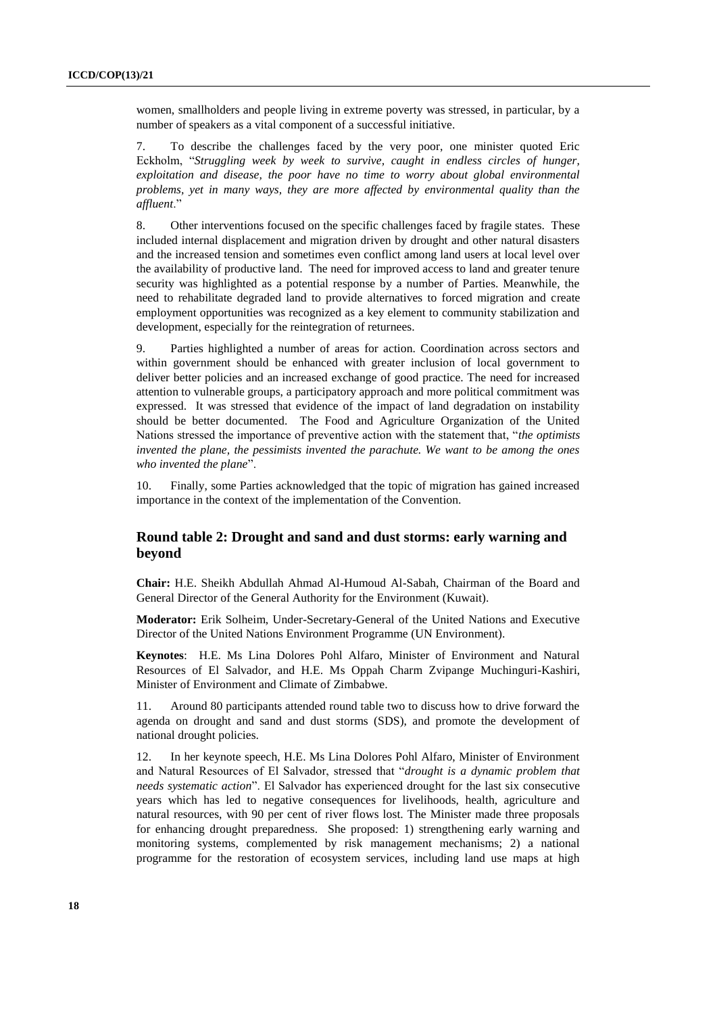women, smallholders and people living in extreme poverty was stressed, in particular, by a number of speakers as a vital component of a successful initiative.

7. To describe the challenges faced by the very poor, one minister quoted Eric Eckholm, "*Struggling week by week to survive, caught in endless circles of hunger, exploitation and disease, the poor have no time to worry about global environmental problems, yet in many ways, they are more affected by environmental quality than the affluent*."

8. Other interventions focused on the specific challenges faced by fragile states. These included internal displacement and migration driven by drought and other natural disasters and the increased tension and sometimes even conflict among land users at local level over the availability of productive land. The need for improved access to land and greater tenure security was highlighted as a potential response by a number of Parties. Meanwhile, the need to rehabilitate degraded land to provide alternatives to forced migration and create employment opportunities was recognized as a key element to community stabilization and development, especially for the reintegration of returnees.

9. Parties highlighted a number of areas for action. Coordination across sectors and within government should be enhanced with greater inclusion of local government to deliver better policies and an increased exchange of good practice. The need for increased attention to vulnerable groups, a participatory approach and more political commitment was expressed. It was stressed that evidence of the impact of land degradation on instability should be better documented. The Food and Agriculture Organization of the United Nations stressed the importance of preventive action with the statement that, "*the optimists invented the plane, the pessimists invented the parachute. We want to be among the ones who invented the plane*".

10. Finally, some Parties acknowledged that the topic of migration has gained increased importance in the context of the implementation of the Convention.

### **Round table 2: Drought and sand and dust storms: early warning and beyond**

**Chair:** H.E. Sheikh Abdullah Ahmad Al-Humoud Al-Sabah, Chairman of the Board and General Director of the General Authority for the Environment (Kuwait).

**Moderator:** Erik Solheim, Under-Secretary-General of the United Nations and Executive Director of the United Nations Environment Programme (UN Environment).

**Keynotes**: H.E. Ms Lina Dolores Pohl Alfaro, Minister of Environment and Natural Resources of El Salvador, and H.E. Ms Oppah Charm Zvipange Muchinguri-Kashiri, Minister of Environment and Climate of Zimbabwe.

11. Around 80 participants attended round table two to discuss how to drive forward the agenda on drought and sand and dust storms (SDS), and promote the development of national drought policies.

12. In her keynote speech, H.E. Ms Lina Dolores Pohl Alfaro, Minister of Environment and Natural Resources of El Salvador, stressed that "*drought is a dynamic problem that needs systematic action*". El Salvador has experienced drought for the last six consecutive years which has led to negative consequences for livelihoods, health, agriculture and natural resources, with 90 per cent of river flows lost. The Minister made three proposals for enhancing drought preparedness. She proposed: 1) strengthening early warning and monitoring systems, complemented by risk management mechanisms; 2) a national programme for the restoration of ecosystem services, including land use maps at high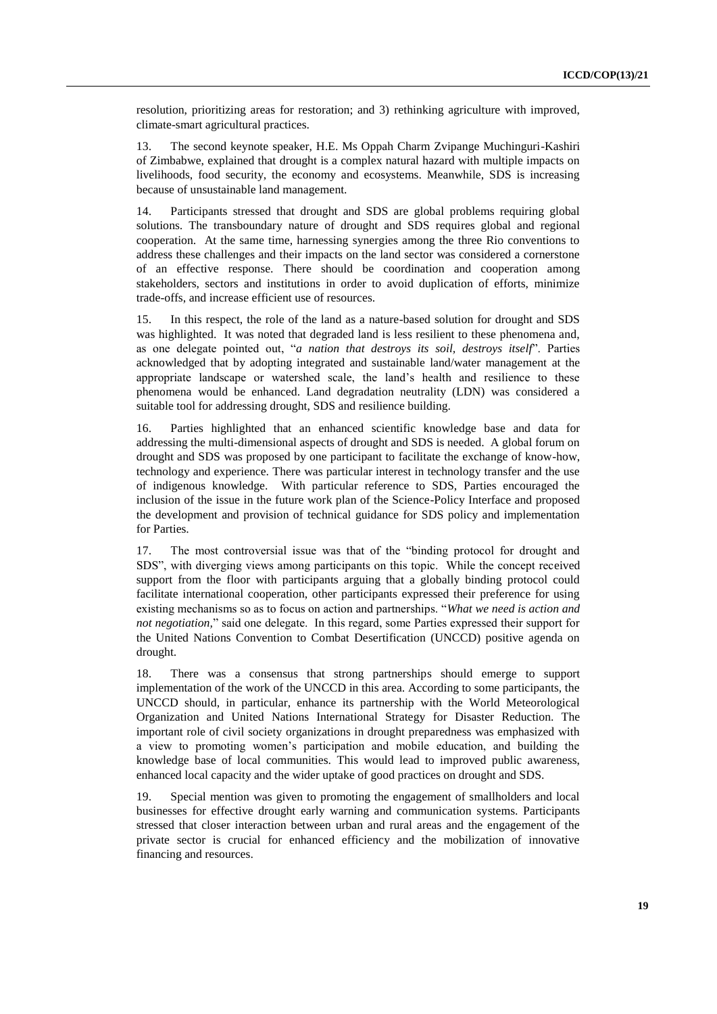resolution, prioritizing areas for restoration; and 3) rethinking agriculture with improved, climate-smart agricultural practices.

13. The second keynote speaker, H.E. Ms Oppah Charm Zvipange Muchinguri-Kashiri of Zimbabwe, explained that drought is a complex natural hazard with multiple impacts on livelihoods, food security, the economy and ecosystems. Meanwhile, SDS is increasing because of unsustainable land management.

14. Participants stressed that drought and SDS are global problems requiring global solutions. The transboundary nature of drought and SDS requires global and regional cooperation. At the same time, harnessing synergies among the three Rio conventions to address these challenges and their impacts on the land sector was considered a cornerstone of an effective response. There should be coordination and cooperation among stakeholders, sectors and institutions in order to avoid duplication of efforts, minimize trade-offs, and increase efficient use of resources.

15. In this respect, the role of the land as a nature-based solution for drought and SDS was highlighted. It was noted that degraded land is less resilient to these phenomena and, as one delegate pointed out, "*a nation that destroys its soil, destroys itself*". Parties acknowledged that by adopting integrated and sustainable land/water management at the appropriate landscape or watershed scale, the land's health and resilience to these phenomena would be enhanced. Land degradation neutrality (LDN) was considered a suitable tool for addressing drought, SDS and resilience building.

16. Parties highlighted that an enhanced scientific knowledge base and data for addressing the multi-dimensional aspects of drought and SDS is needed. A global forum on drought and SDS was proposed by one participant to facilitate the exchange of know-how, technology and experience. There was particular interest in technology transfer and the use of indigenous knowledge. With particular reference to SDS, Parties encouraged the inclusion of the issue in the future work plan of the Science-Policy Interface and proposed the development and provision of technical guidance for SDS policy and implementation for Parties.

17. The most controversial issue was that of the "binding protocol for drought and SDS", with diverging views among participants on this topic. While the concept received support from the floor with participants arguing that a globally binding protocol could facilitate international cooperation, other participants expressed their preference for using existing mechanisms so as to focus on action and partnerships. "*What we need is action and not negotiation,*" said one delegate. In this regard, some Parties expressed their support for the United Nations Convention to Combat Desertification (UNCCD) positive agenda on drought.

18. There was a consensus that strong partnerships should emerge to support implementation of the work of the UNCCD in this area. According to some participants, the UNCCD should, in particular, enhance its partnership with the World Meteorological Organization and United Nations International Strategy for Disaster Reduction. The important role of civil society organizations in drought preparedness was emphasized with a view to promoting women's participation and mobile education, and building the knowledge base of local communities. This would lead to improved public awareness, enhanced local capacity and the wider uptake of good practices on drought and SDS.

19. Special mention was given to promoting the engagement of smallholders and local businesses for effective drought early warning and communication systems. Participants stressed that closer interaction between urban and rural areas and the engagement of the private sector is crucial for enhanced efficiency and the mobilization of innovative financing and resources.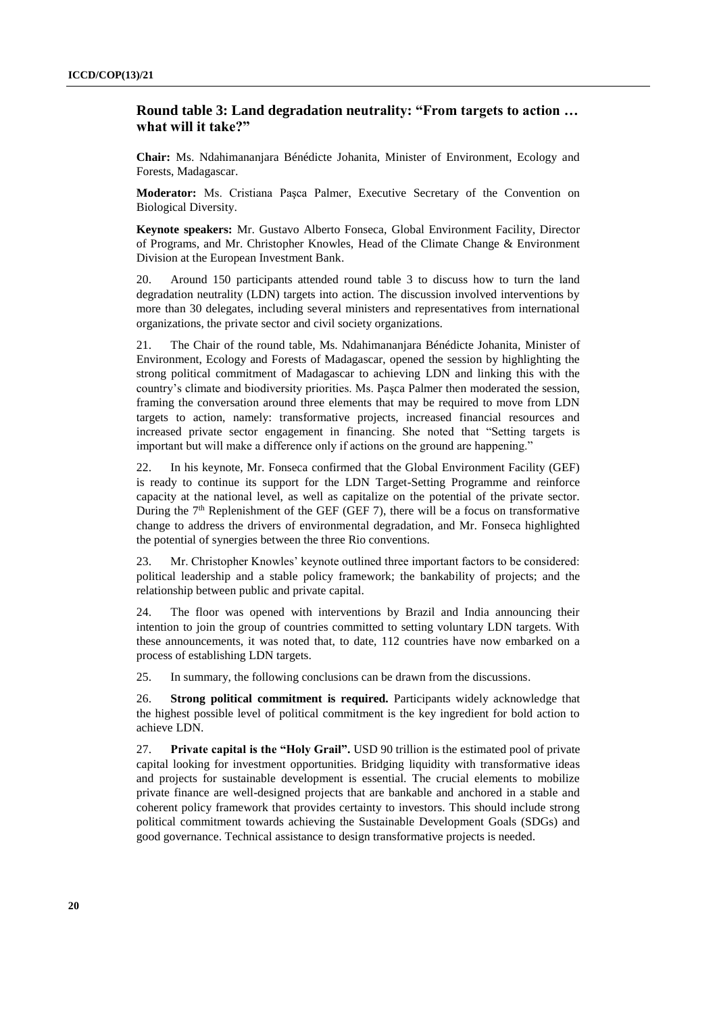### **Round table 3: Land degradation neutrality: "From targets to action … what will it take?"**

**Chair:** Ms. Ndahimananjara Bénédicte Johanita, Minister of Environment, Ecology and Forests, Madagascar.

**Moderator:** Ms. Cristiana Paşca Palmer, Executive Secretary of the Convention on Biological Diversity.

**Keynote speakers:** Mr. Gustavo Alberto Fonseca, Global Environment Facility, Director of Programs, and Mr. Christopher Knowles, Head of the Climate Change & Environment Division at the European Investment Bank.

20. Around 150 participants attended round table 3 to discuss how to turn the land degradation neutrality (LDN) targets into action. The discussion involved interventions by more than 30 delegates, including several ministers and representatives from international organizations, the private sector and civil society organizations.

21. The Chair of the round table, Ms. Ndahimananjara Bénédicte Johanita, Minister of Environment, Ecology and Forests of Madagascar, opened the session by highlighting the strong political commitment of Madagascar to achieving LDN and linking this with the country's climate and biodiversity priorities. Ms. Paşca Palmer then moderated the session, framing the conversation around three elements that may be required to move from LDN targets to action, namely: transformative projects, increased financial resources and increased private sector engagement in financing. She noted that "Setting targets is important but will make a difference only if actions on the ground are happening."

22. In his keynote, Mr. Fonseca confirmed that the Global Environment Facility (GEF) is ready to continue its support for the LDN Target-Setting Programme and reinforce capacity at the national level, as well as capitalize on the potential of the private sector. During the  $7<sup>th</sup>$  Replenishment of the GEF (GEF 7), there will be a focus on transformative change to address the drivers of environmental degradation, and Mr. Fonseca highlighted the potential of synergies between the three Rio conventions.

23. Mr. Christopher Knowles' keynote outlined three important factors to be considered: political leadership and a stable policy framework; the bankability of projects; and the relationship between public and private capital.

24. The floor was opened with interventions by Brazil and India announcing their intention to join the group of countries committed to setting voluntary LDN targets. With these announcements, it was noted that, to date, 112 countries have now embarked on a process of establishing LDN targets.

25. In summary, the following conclusions can be drawn from the discussions.

26. **Strong political commitment is required.** Participants widely acknowledge that the highest possible level of political commitment is the key ingredient for bold action to achieve LDN.

27. **Private capital is the "Holy Grail".** USD 90 trillion is the estimated pool of private capital looking for investment opportunities. Bridging liquidity with transformative ideas and projects for sustainable development is essential. The crucial elements to mobilize private finance are well-designed projects that are bankable and anchored in a stable and coherent policy framework that provides certainty to investors. This should include strong political commitment towards achieving the Sustainable Development Goals (SDGs) and good governance. Technical assistance to design transformative projects is needed.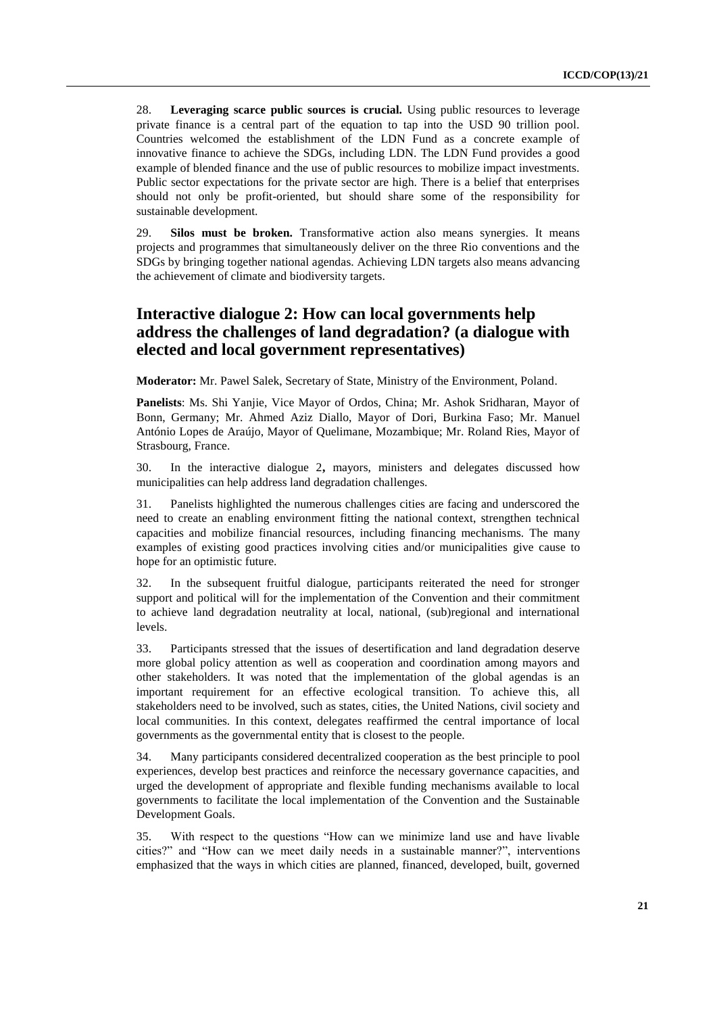28. **Leveraging scarce public sources is crucial.** Using public resources to leverage private finance is a central part of the equation to tap into the USD 90 trillion pool. Countries welcomed the establishment of the LDN Fund as a concrete example of innovative finance to achieve the SDGs, including LDN. The LDN Fund provides a good example of blended finance and the use of public resources to mobilize impact investments. Public sector expectations for the private sector are high. There is a belief that enterprises should not only be profit-oriented, but should share some of the responsibility for sustainable development.

29. **Silos must be broken.** Transformative action also means synergies. It means projects and programmes that simultaneously deliver on the three Rio conventions and the SDGs by bringing together national agendas. Achieving LDN targets also means advancing the achievement of climate and biodiversity targets.

## **Interactive dialogue 2: How can local governments help address the challenges of land degradation? (a dialogue with elected and local government representatives)**

**Moderator:** Mr. Pawel Salek, Secretary of State, Ministry of the Environment, Poland.

**Panelists**: Ms. Shi Yanjie, Vice Mayor of Ordos, China; Mr. Ashok Sridharan, Mayor of Bonn, Germany; Mr. Ahmed Aziz Diallo, Mayor of Dori, Burkina Faso; Mr. Manuel António Lopes de Araújo, Mayor of Quelimane, Mozambique; Mr. Roland Ries, Mayor of Strasbourg, France.

30. In the interactive dialogue 2**,** mayors, ministers and delegates discussed how municipalities can help address land degradation challenges.

31. Panelists highlighted the numerous challenges cities are facing and underscored the need to create an enabling environment fitting the national context, strengthen technical capacities and mobilize financial resources, including financing mechanisms. The many examples of existing good practices involving cities and/or municipalities give cause to hope for an optimistic future.

32. In the subsequent fruitful dialogue, participants reiterated the need for stronger support and political will for the implementation of the Convention and their commitment to achieve land degradation neutrality at local, national, (sub)regional and international levels.

33. Participants stressed that the issues of desertification and land degradation deserve more global policy attention as well as cooperation and coordination among mayors and other stakeholders. It was noted that the implementation of the global agendas is an important requirement for an effective ecological transition. To achieve this, all stakeholders need to be involved, such as states, cities, the United Nations, civil society and local communities. In this context, delegates reaffirmed the central importance of local governments as the governmental entity that is closest to the people.

34. Many participants considered decentralized cooperation as the best principle to pool experiences, develop best practices and reinforce the necessary governance capacities, and urged the development of appropriate and flexible funding mechanisms available to local governments to facilitate the local implementation of the Convention and the Sustainable Development Goals.

35. With respect to the questions "How can we minimize land use and have livable cities?" and "How can we meet daily needs in a sustainable manner?", interventions emphasized that the ways in which cities are planned, financed, developed, built, governed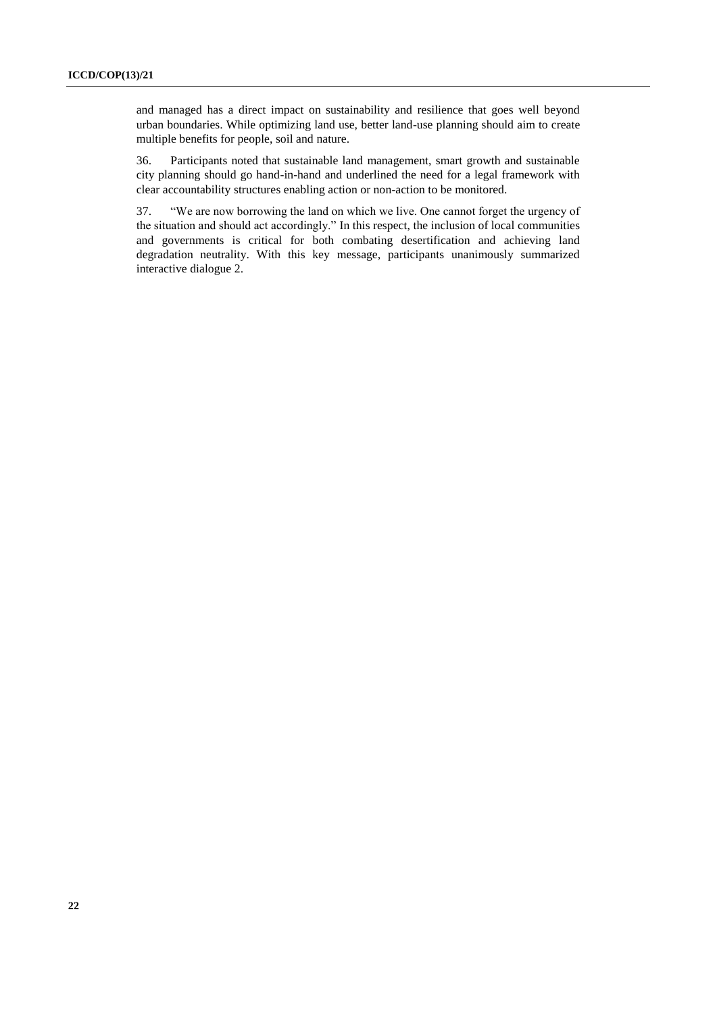and managed has a direct impact on sustainability and resilience that goes well beyond urban boundaries. While optimizing land use, better land-use planning should aim to create multiple benefits for people, soil and nature.

36. Participants noted that sustainable land management, smart growth and sustainable city planning should go hand-in-hand and underlined the need for a legal framework with clear accountability structures enabling action or non-action to be monitored.

37. "We are now borrowing the land on which we live. One cannot forget the urgency of the situation and should act accordingly." In this respect, the inclusion of local communities and governments is critical for both combating desertification and achieving land degradation neutrality. With this key message, participants unanimously summarized interactive dialogue 2.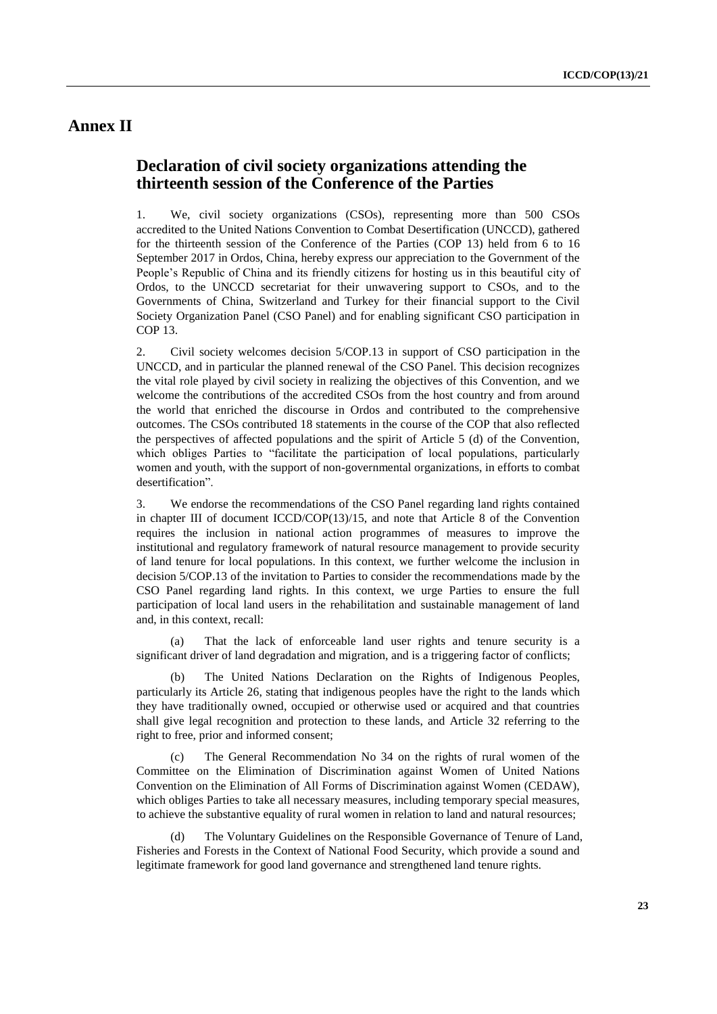## **Annex II**

## **Declaration of civil society organizations attending the thirteenth session of the Conference of the Parties**

1. We, civil society organizations (CSOs), representing more than 500 CSOs accredited to the United Nations Convention to Combat Desertification (UNCCD), gathered for the thirteenth session of the Conference of the Parties (COP 13) held from 6 to 16 September 2017 in Ordos, China, hereby express our appreciation to the Government of the People's Republic of China and its friendly citizens for hosting us in this beautiful city of Ordos, to the UNCCD secretariat for their unwavering support to CSOs, and to the Governments of China, Switzerland and Turkey for their financial support to the Civil Society Organization Panel (CSO Panel) and for enabling significant CSO participation in COP 13.

2. Civil society welcomes decision 5/COP.13 in support of CSO participation in the UNCCD, and in particular the planned renewal of the CSO Panel. This decision recognizes the vital role played by civil society in realizing the objectives of this Convention, and we welcome the contributions of the accredited CSOs from the host country and from around the world that enriched the discourse in Ordos and contributed to the comprehensive outcomes. The CSOs contributed 18 statements in the course of the COP that also reflected the perspectives of affected populations and the spirit of Article 5 (d) of the Convention, which obliges Parties to "facilitate the participation of local populations, particularly women and youth, with the support of non-governmental organizations, in efforts to combat desertification".

3. We endorse the recommendations of the CSO Panel regarding land rights contained in chapter III of document ICCD/COP(13)/15, and note that Article 8 of the Convention requires the inclusion in national action programmes of measures to improve the institutional and regulatory framework of natural resource management to provide security of land tenure for local populations. In this context, we further welcome the inclusion in decision 5/COP.13 of the invitation to Parties to consider the recommendations made by the CSO Panel regarding land rights. In this context, we urge Parties to ensure the full participation of local land users in the rehabilitation and sustainable management of land and, in this context, recall:

That the lack of enforceable land user rights and tenure security is a significant driver of land degradation and migration, and is a triggering factor of conflicts;

(b) The United Nations Declaration on the Rights of Indigenous Peoples, particularly its Article 26, stating that indigenous peoples have the right to the lands which they have traditionally owned, occupied or otherwise used or acquired and that countries shall give legal recognition and protection to these lands, and Article 32 referring to the right to free, prior and informed consent;

(c) The General Recommendation No 34 on the rights of rural women of the Committee on the Elimination of Discrimination against Women of United Nations Convention on the Elimination of All Forms of Discrimination against Women (CEDAW), which obliges Parties to take all necessary measures, including temporary special measures, to achieve the substantive equality of rural women in relation to land and natural resources;

The Voluntary Guidelines on the Responsible Governance of Tenure of Land, Fisheries and Forests in the Context of National Food Security, which provide a sound and legitimate framework for good land governance and strengthened land tenure rights.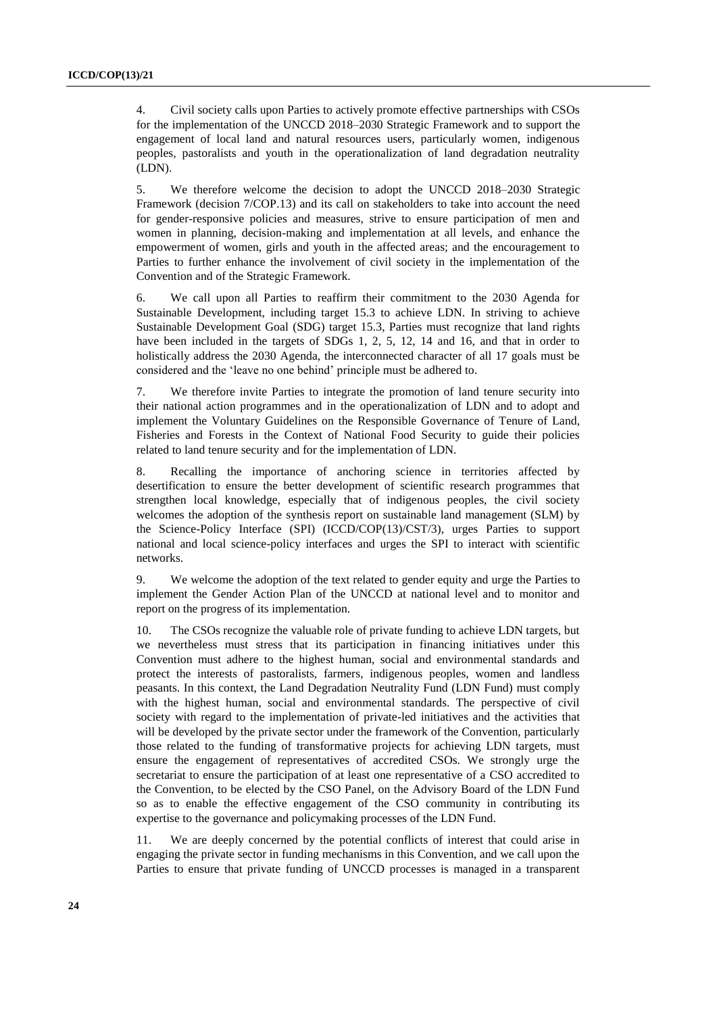4. Civil society calls upon Parties to actively promote effective partnerships with CSOs for the implementation of the UNCCD 2018–2030 Strategic Framework and to support the engagement of local land and natural resources users, particularly women, indigenous peoples, pastoralists and youth in the operationalization of land degradation neutrality (LDN).

5. We therefore welcome the decision to adopt the UNCCD 2018–2030 Strategic Framework (decision 7/COP.13) and its call on stakeholders to take into account the need for gender-responsive policies and measures, strive to ensure participation of men and women in planning, decision-making and implementation at all levels, and enhance the empowerment of women, girls and youth in the affected areas; and the encouragement to Parties to further enhance the involvement of civil society in the implementation of the Convention and of the Strategic Framework.

6. We call upon all Parties to reaffirm their commitment to the 2030 Agenda for Sustainable Development, including target 15.3 to achieve LDN. In striving to achieve Sustainable Development Goal (SDG) target 15.3, Parties must recognize that land rights have been included in the targets of SDGs 1, 2, 5, 12, 14 and 16, and that in order to holistically address the 2030 Agenda, the interconnected character of all 17 goals must be considered and the 'leave no one behind' principle must be adhered to.

7. We therefore invite Parties to integrate the promotion of land tenure security into their national action programmes and in the operationalization of LDN and to adopt and implement the Voluntary Guidelines on the Responsible Governance of Tenure of Land, Fisheries and Forests in the Context of National Food Security to guide their policies related to land tenure security and for the implementation of LDN.

8. Recalling the importance of anchoring science in territories affected by desertification to ensure the better development of scientific research programmes that strengthen local knowledge, especially that of indigenous peoples, the civil society welcomes the adoption of the synthesis report on sustainable land management (SLM) by the Science-Policy Interface (SPI) (ICCD/COP(13)/CST/3), urges Parties to support national and local science-policy interfaces and urges the SPI to interact with scientific networks.

9. We welcome the adoption of the text related to gender equity and urge the Parties to implement the Gender Action Plan of the UNCCD at national level and to monitor and report on the progress of its implementation.

10. The CSOs recognize the valuable role of private funding to achieve LDN targets, but we nevertheless must stress that its participation in financing initiatives under this Convention must adhere to the highest human, social and environmental standards and protect the interests of pastoralists, farmers, indigenous peoples, women and landless peasants. In this context, the Land Degradation Neutrality Fund (LDN Fund) must comply with the highest human, social and environmental standards. The perspective of civil society with regard to the implementation of private-led initiatives and the activities that will be developed by the private sector under the framework of the Convention, particularly those related to the funding of transformative projects for achieving LDN targets, must ensure the engagement of representatives of accredited CSOs. We strongly urge the secretariat to ensure the participation of at least one representative of a CSO accredited to the Convention, to be elected by the CSO Panel, on the Advisory Board of the LDN Fund so as to enable the effective engagement of the CSO community in contributing its expertise to the governance and policymaking processes of the LDN Fund.

11. We are deeply concerned by the potential conflicts of interest that could arise in engaging the private sector in funding mechanisms in this Convention, and we call upon the Parties to ensure that private funding of UNCCD processes is managed in a transparent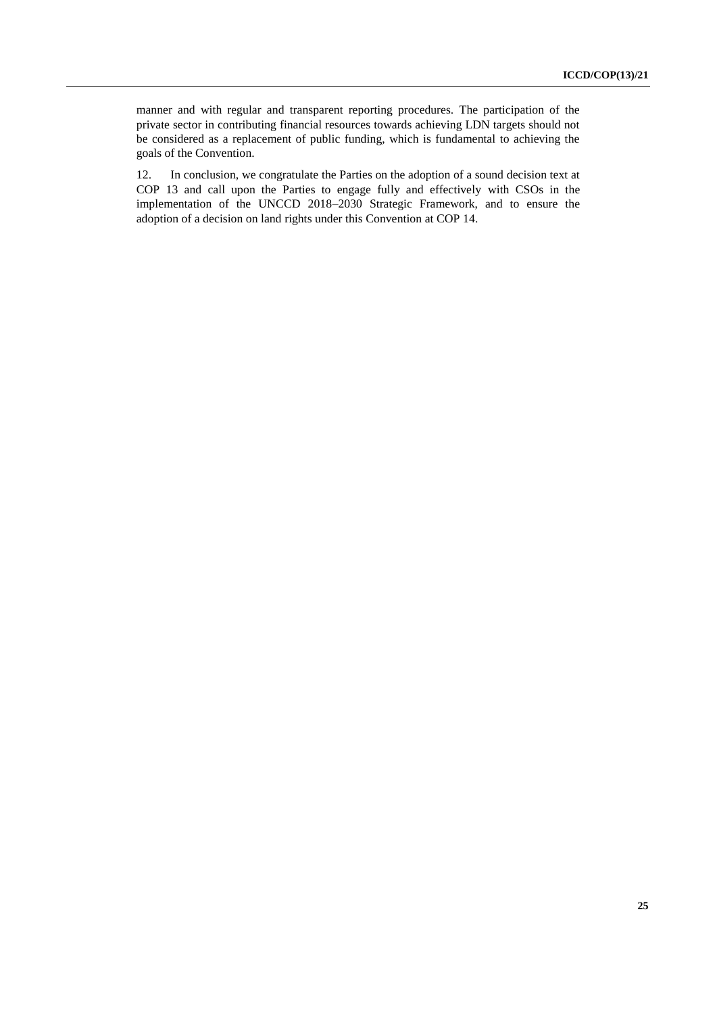manner and with regular and transparent reporting procedures. The participation of the private sector in contributing financial resources towards achieving LDN targets should not be considered as a replacement of public funding, which is fundamental to achieving the goals of the Convention.

12. In conclusion, we congratulate the Parties on the adoption of a sound decision text at COP 13 and call upon the Parties to engage fully and effectively with CSOs in the implementation of the UNCCD 2018–2030 Strategic Framework, and to ensure the adoption of a decision on land rights under this Convention at COP 14.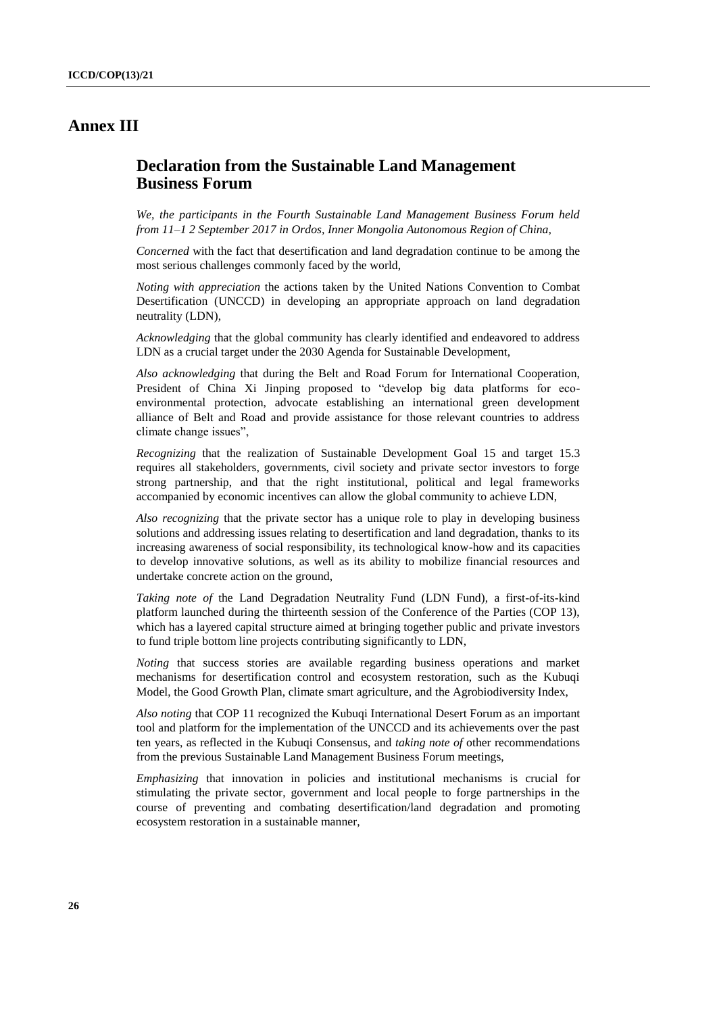## **Annex III**

## **Declaration from the Sustainable Land Management Business Forum**

*We, the participants in the Fourth Sustainable Land Management Business Forum held from 11–1 2 September 2017 in Ordos, Inner Mongolia Autonomous Region of China,*

*Concerned* with the fact that desertification and land degradation continue to be among the most serious challenges commonly faced by the world,

*Noting with appreciation* the actions taken by the United Nations Convention to Combat Desertification (UNCCD) in developing an appropriate approach on land degradation neutrality (LDN),

*Acknowledging* that the global community has clearly identified and endeavored to address LDN as a crucial target under the 2030 Agenda for Sustainable Development,

*Also acknowledging* that during the Belt and Road Forum for International Cooperation, President of China Xi Jinping proposed to "develop big data platforms for ecoenvironmental protection, advocate establishing an international green development alliance of Belt and Road and provide assistance for those relevant countries to address climate change issues",

*Recognizing* that the realization of Sustainable Development Goal 15 and target 15.3 requires all stakeholders, governments, civil society and private sector investors to forge strong partnership, and that the right institutional, political and legal frameworks accompanied by economic incentives can allow the global community to achieve LDN,

*Also recognizing* that the private sector has a unique role to play in developing business solutions and addressing issues relating to desertification and land degradation, thanks to its increasing awareness of social responsibility, its technological know-how and its capacities to develop innovative solutions, as well as its ability to mobilize financial resources and undertake concrete action on the ground,

*Taking note of* the Land Degradation Neutrality Fund (LDN Fund), a first-of-its-kind platform launched during the thirteenth session of the Conference of the Parties (COP 13), which has a layered capital structure aimed at bringing together public and private investors to fund triple bottom line projects contributing significantly to LDN,

*Noting* that success stories are available regarding business operations and market mechanisms for desertification control and ecosystem restoration, such as the Kubuqi Model, the Good Growth Plan, climate smart agriculture, and the Agrobiodiversity Index,

*Also noting* that COP 11 recognized the Kubuqi International Desert Forum as an important tool and platform for the implementation of the UNCCD and its achievements over the past ten years, as reflected in the Kubuqi Consensus, and *taking note of* other recommendations from the previous Sustainable Land Management Business Forum meetings,

*Emphasizing* that innovation in policies and institutional mechanisms is crucial for stimulating the private sector, government and local people to forge partnerships in the course of preventing and combating desertification/land degradation and promoting ecosystem restoration in a sustainable manner,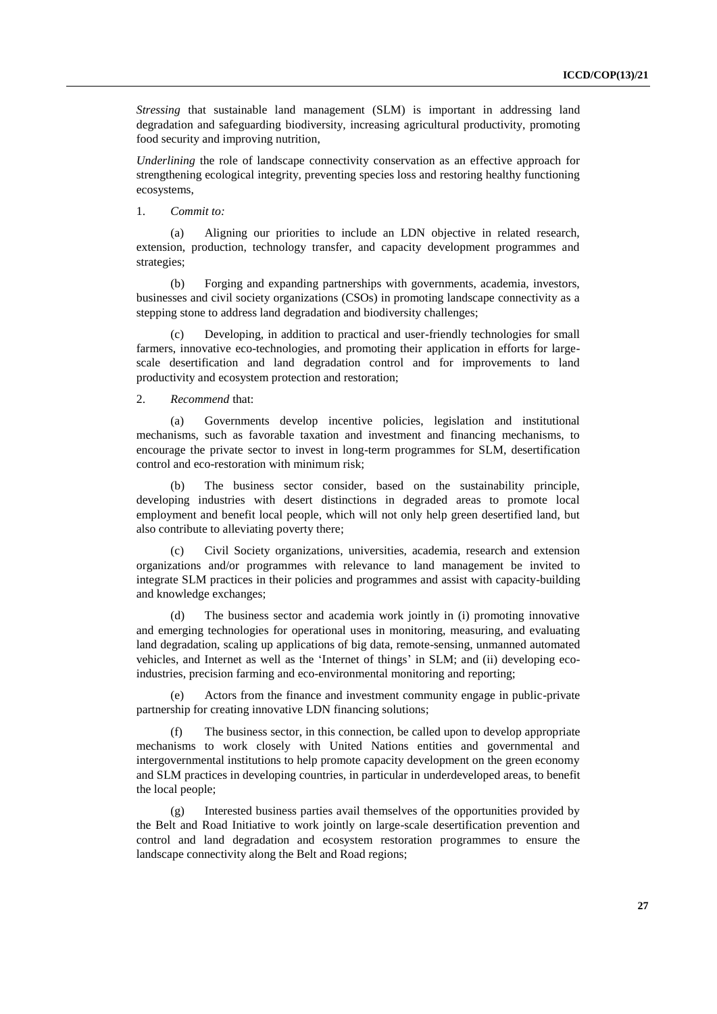*Stressing* that sustainable land management (SLM) is important in addressing land degradation and safeguarding biodiversity, increasing agricultural productivity, promoting food security and improving nutrition,

*Underlining* the role of landscape connectivity conservation as an effective approach for strengthening ecological integrity, preventing species loss and restoring healthy functioning ecosystems,

#### 1. *Commit to:*

(a) Aligning our priorities to include an LDN objective in related research, extension, production, technology transfer, and capacity development programmes and strategies;

(b) Forging and expanding partnerships with governments, academia, investors, businesses and civil society organizations (CSOs) in promoting landscape connectivity as a stepping stone to address land degradation and biodiversity challenges;

(c) Developing, in addition to practical and user-friendly technologies for small farmers, innovative eco-technologies, and promoting their application in efforts for largescale desertification and land degradation control and for improvements to land productivity and ecosystem protection and restoration;

#### 2. *Recommend* that:

(a) Governments develop incentive policies, legislation and institutional mechanisms, such as favorable taxation and investment and financing mechanisms, to encourage the private sector to invest in long-term programmes for SLM, desertification control and eco-restoration with minimum risk;

(b) The business sector consider, based on the sustainability principle, developing industries with desert distinctions in degraded areas to promote local employment and benefit local people, which will not only help green desertified land, but also contribute to alleviating poverty there;

(c) Civil Society organizations, universities, academia, research and extension organizations and/or programmes with relevance to land management be invited to integrate SLM practices in their policies and programmes and assist with capacity-building and knowledge exchanges;

(d) The business sector and academia work jointly in (i) promoting innovative and emerging technologies for operational uses in monitoring, measuring, and evaluating land degradation, scaling up applications of big data, remote-sensing, unmanned automated vehicles, and Internet as well as the 'Internet of things' in SLM; and (ii) developing ecoindustries, precision farming and eco-environmental monitoring and reporting;

Actors from the finance and investment community engage in public-private partnership for creating innovative LDN financing solutions;

(f) The business sector, in this connection, be called upon to develop appropriate mechanisms to work closely with United Nations entities and governmental and intergovernmental institutions to help promote capacity development on the green economy and SLM practices in developing countries, in particular in underdeveloped areas, to benefit the local people;

(g) Interested business parties avail themselves of the opportunities provided by the Belt and Road Initiative to work jointly on large-scale desertification prevention and control and land degradation and ecosystem restoration programmes to ensure the landscape connectivity along the Belt and Road regions;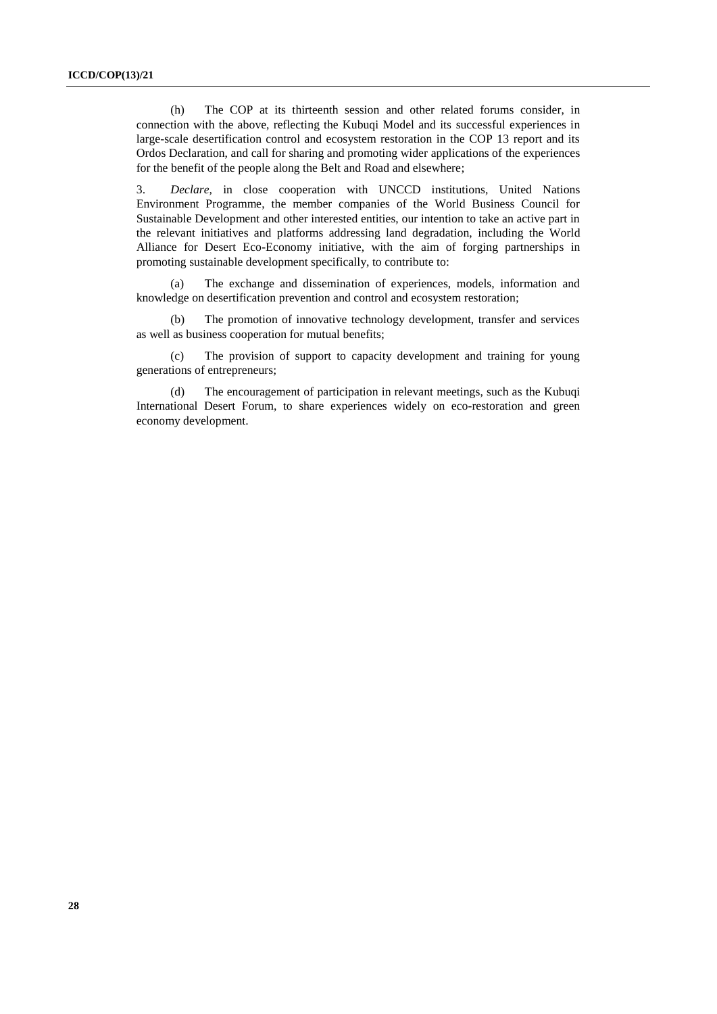(h) The COP at its thirteenth session and other related forums consider, in connection with the above, reflecting the Kubuqi Model and its successful experiences in large-scale desertification control and ecosystem restoration in the COP 13 report and its Ordos Declaration, and call for sharing and promoting wider applications of the experiences for the benefit of the people along the Belt and Road and elsewhere;

3. *Declare,* in close cooperation with UNCCD institutions, United Nations Environment Programme, the member companies of the World Business Council for Sustainable Development and other interested entities, our intention to take an active part in the relevant initiatives and platforms addressing land degradation, including the World Alliance for Desert Eco-Economy initiative, with the aim of forging partnerships in promoting sustainable development specifically, to contribute to:

(a) The exchange and dissemination of experiences, models, information and knowledge on desertification prevention and control and ecosystem restoration;

(b) The promotion of innovative technology development, transfer and services as well as business cooperation for mutual benefits;

(c) The provision of support to capacity development and training for young generations of entrepreneurs;

(d) The encouragement of participation in relevant meetings, such as the Kubuqi International Desert Forum, to share experiences widely on eco-restoration and green economy development.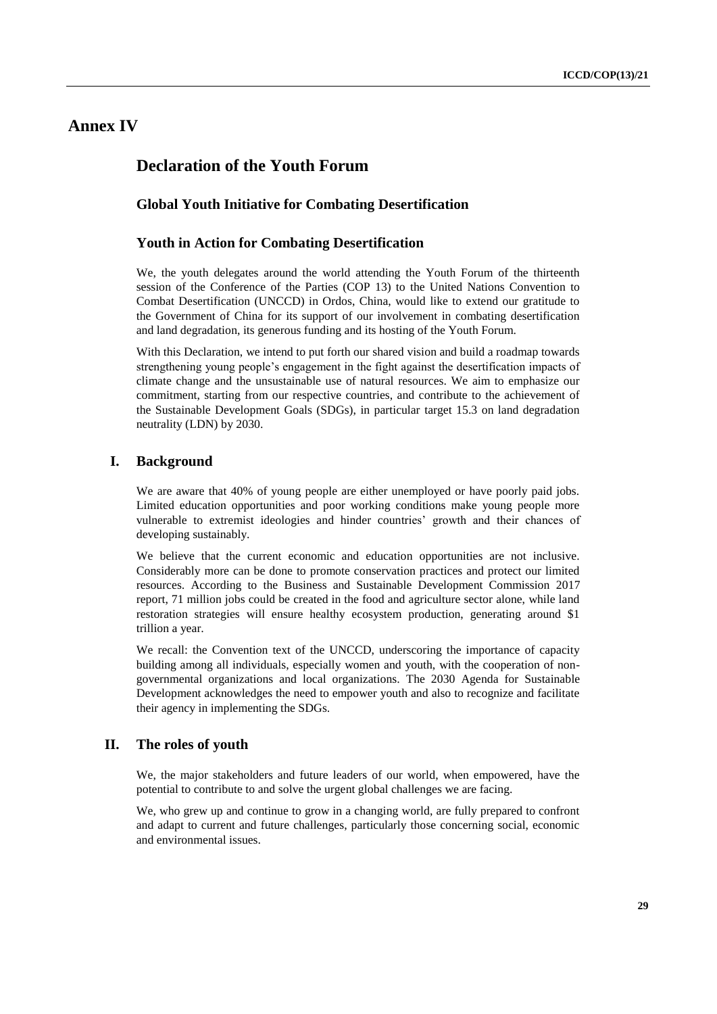## **Annex IV**

## **Declaration of the Youth Forum**

#### **Global Youth Initiative for Combating Desertification**

#### **Youth in Action for Combating Desertification**

We, the youth delegates around the world attending the Youth Forum of the thirteenth session of the Conference of the Parties (COP 13) to the United Nations Convention to Combat Desertification (UNCCD) in Ordos, China, would like to extend our gratitude to the Government of China for its support of our involvement in combating desertification and land degradation, its generous funding and its hosting of the Youth Forum.

With this Declaration, we intend to put forth our shared vision and build a roadmap towards strengthening young people's engagement in the fight against the desertification impacts of climate change and the unsustainable use of natural resources. We aim to emphasize our commitment, starting from our respective countries, and contribute to the achievement of the Sustainable Development Goals (SDGs), in particular target 15.3 on land degradation neutrality (LDN) by 2030.

### **I. Background**

We are aware that 40% of young people are either unemployed or have poorly paid jobs. Limited education opportunities and poor working conditions make young people more vulnerable to extremist ideologies and hinder countries' growth and their chances of developing sustainably.

We believe that the current economic and education opportunities are not inclusive. Considerably more can be done to promote conservation practices and protect our limited resources. According to the Business and Sustainable Development Commission 2017 report, 71 million jobs could be created in the food and agriculture sector alone, while land restoration strategies will ensure healthy ecosystem production, generating around \$1 trillion a year.

We recall: the Convention text of the UNCCD, underscoring the importance of capacity building among all individuals, especially women and youth, with the cooperation of nongovernmental organizations and local organizations. The 2030 Agenda for Sustainable Development acknowledges the need to empower youth and also to recognize and facilitate their agency in implementing the SDGs.

### **II. The roles of youth**

We, the major stakeholders and future leaders of our world, when empowered, have the potential to contribute to and solve the urgent global challenges we are facing.

We, who grew up and continue to grow in a changing world, are fully prepared to confront and adapt to current and future challenges, particularly those concerning social, economic and environmental issues.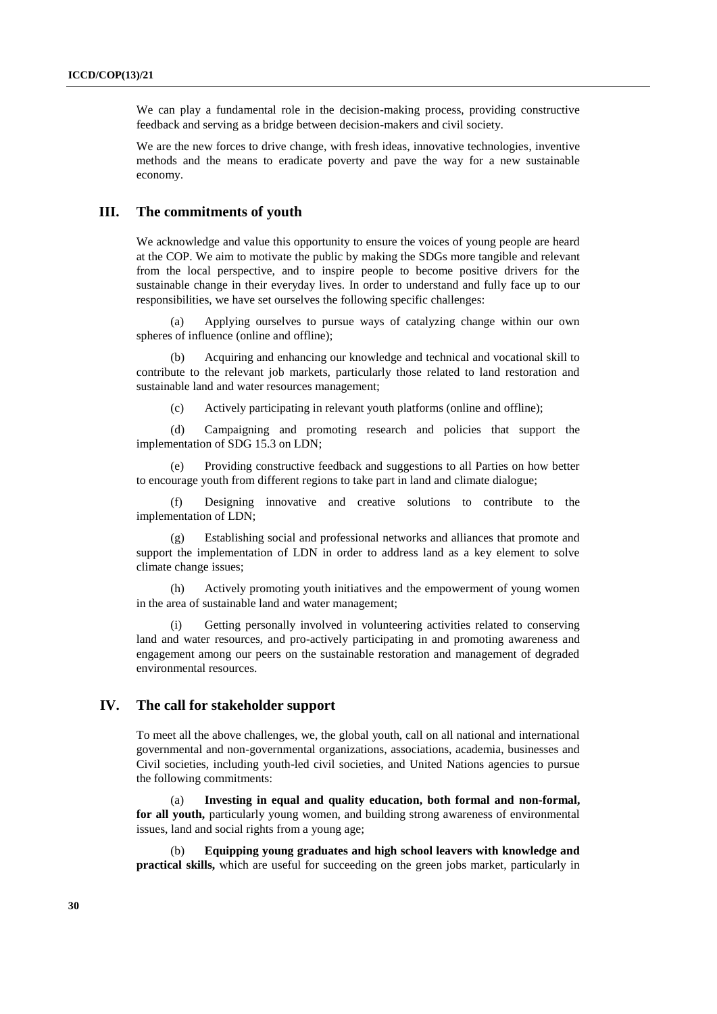We can play a fundamental role in the decision-making process, providing constructive feedback and serving as a bridge between decision-makers and civil society.

We are the new forces to drive change, with fresh ideas, innovative technologies, inventive methods and the means to eradicate poverty and pave the way for a new sustainable economy.

#### **III. The commitments of youth**

We acknowledge and value this opportunity to ensure the voices of young people are heard at the COP. We aim to motivate the public by making the SDGs more tangible and relevant from the local perspective, and to inspire people to become positive drivers for the sustainable change in their everyday lives. In order to understand and fully face up to our responsibilities, we have set ourselves the following specific challenges:

Applying ourselves to pursue ways of catalyzing change within our own spheres of influence (online and offline);

(b) Acquiring and enhancing our knowledge and technical and vocational skill to contribute to the relevant job markets, particularly those related to land restoration and sustainable land and water resources management;

(c) Actively participating in relevant youth platforms (online and offline);

(d) Campaigning and promoting research and policies that support the implementation of SDG 15.3 on LDN;

(e) Providing constructive feedback and suggestions to all Parties on how better to encourage youth from different regions to take part in land and climate dialogue;

(f) Designing innovative and creative solutions to contribute to the implementation of LDN;

(g) Establishing social and professional networks and alliances that promote and support the implementation of LDN in order to address land as a key element to solve climate change issues;

(h) Actively promoting youth initiatives and the empowerment of young women in the area of sustainable land and water management;

(i) Getting personally involved in volunteering activities related to conserving land and water resources, and pro-actively participating in and promoting awareness and engagement among our peers on the sustainable restoration and management of degraded environmental resources.

### **IV. The call for stakeholder support**

To meet all the above challenges, we, the global youth, call on all national and international governmental and non-governmental organizations, associations, academia, businesses and Civil societies, including youth-led civil societies, and United Nations agencies to pursue the following commitments:

(a) **Investing in equal and quality education, both formal and non-formal, for all youth,** particularly young women, and building strong awareness of environmental issues, land and social rights from a young age;

(b) **Equipping young graduates and high school leavers with knowledge and practical skills,** which are useful for succeeding on the green jobs market, particularly in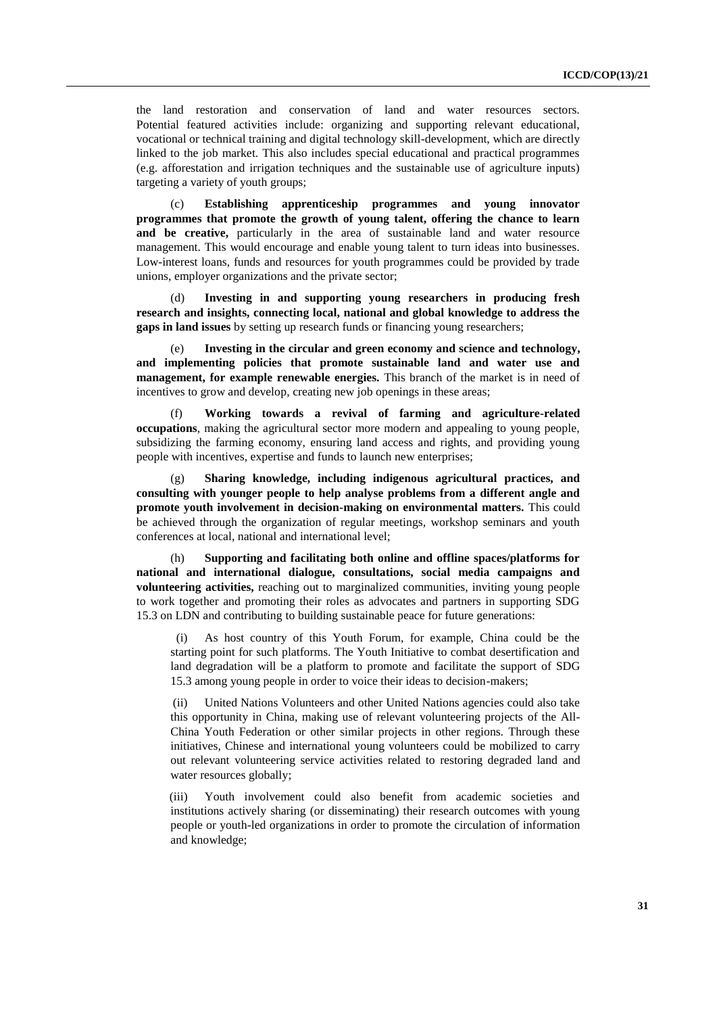the land restoration and conservation of land and water resources sectors. Potential featured activities include: organizing and supporting relevant educational, vocational or technical training and digital technology skill-development, which are directly linked to the job market. This also includes special educational and practical programmes (e.g. afforestation and irrigation techniques and the sustainable use of agriculture inputs) targeting a variety of youth groups;

(c) **Establishing apprenticeship programmes and young innovator programmes that promote the growth of young talent, offering the chance to learn and be creative,** particularly in the area of sustainable land and water resource management. This would encourage and enable young talent to turn ideas into businesses. Low-interest loans, funds and resources for youth programmes could be provided by trade unions, employer organizations and the private sector;

(d) **Investing in and supporting young researchers in producing fresh research and insights, connecting local, national and global knowledge to address the gaps in land issues** by setting up research funds or financing young researchers;

Investing in the circular and green economy and science and technology, **and implementing policies that promote sustainable land and water use and management, for example renewable energies.** This branch of the market is in need of incentives to grow and develop, creating new job openings in these areas;

(f) **Working towards a revival of farming and agriculture-related occupations**, making the agricultural sector more modern and appealing to young people, subsidizing the farming economy, ensuring land access and rights, and providing young people with incentives, expertise and funds to launch new enterprises;

(g) **Sharing knowledge, including indigenous agricultural practices, and consulting with younger people to help analyse problems from a different angle and promote youth involvement in decision-making on environmental matters.** This could be achieved through the organization of regular meetings, workshop seminars and youth conferences at local, national and international level;

Supporting and facilitating both online and offline spaces/platforms for **national and international dialogue, consultations, social media campaigns and volunteering activities,** reaching out to marginalized communities, inviting young people to work together and promoting their roles as advocates and partners in supporting SDG 15.3 on LDN and contributing to building sustainable peace for future generations:

As host country of this Youth Forum, for example, China could be the starting point for such platforms. The Youth Initiative to combat desertification and land degradation will be a platform to promote and facilitate the support of SDG 15.3 among young people in order to voice their ideas to decision-makers;

(ii) United Nations Volunteers and other United Nations agencies could also take this opportunity in China, making use of relevant volunteering projects of the All-China Youth Federation or other similar projects in other regions. Through these initiatives, Chinese and international young volunteers could be mobilized to carry out relevant volunteering service activities related to restoring degraded land and water resources globally;

(iii) Youth involvement could also benefit from academic societies and institutions actively sharing (or disseminating) their research outcomes with young people or youth-led organizations in order to promote the circulation of information and knowledge;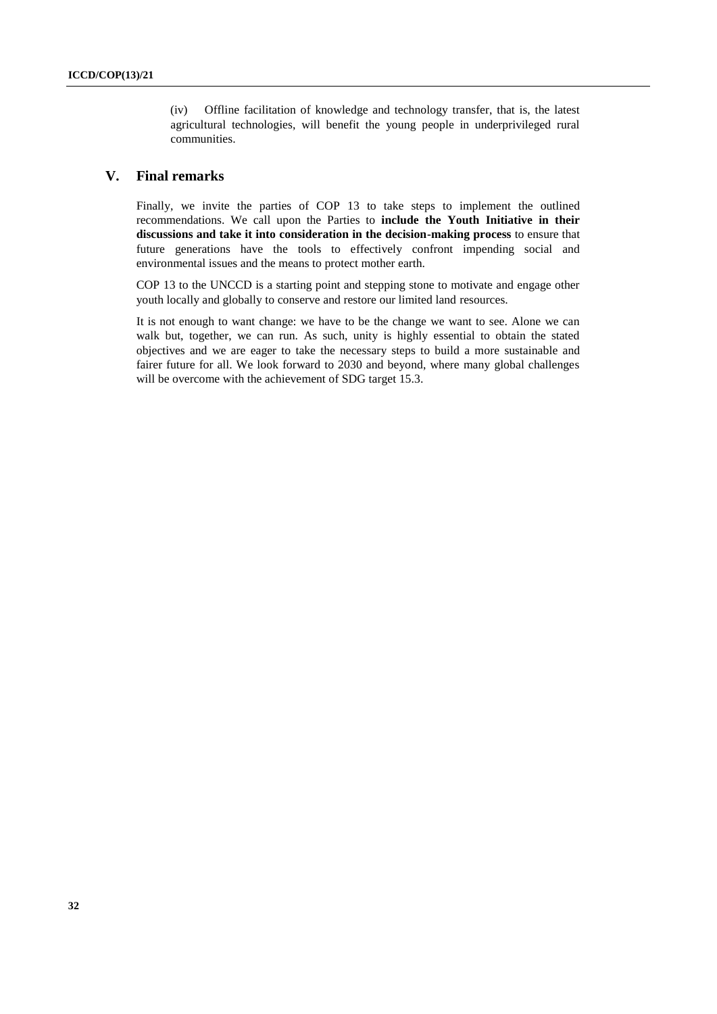(iv) Offline facilitation of knowledge and technology transfer, that is, the latest agricultural technologies, will benefit the young people in underprivileged rural communities.

### **V. Final remarks**

Finally, we invite the parties of COP 13 to take steps to implement the outlined recommendations. We call upon the Parties to **include the Youth Initiative in their discussions and take it into consideration in the decision-making process** to ensure that future generations have the tools to effectively confront impending social and environmental issues and the means to protect mother earth.

COP 13 to the UNCCD is a starting point and stepping stone to motivate and engage other youth locally and globally to conserve and restore our limited land resources.

It is not enough to want change: we have to be the change we want to see. Alone we can walk but, together, we can run. As such, unity is highly essential to obtain the stated objectives and we are eager to take the necessary steps to build a more sustainable and fairer future for all. We look forward to 2030 and beyond, where many global challenges will be overcome with the achievement of SDG target 15.3.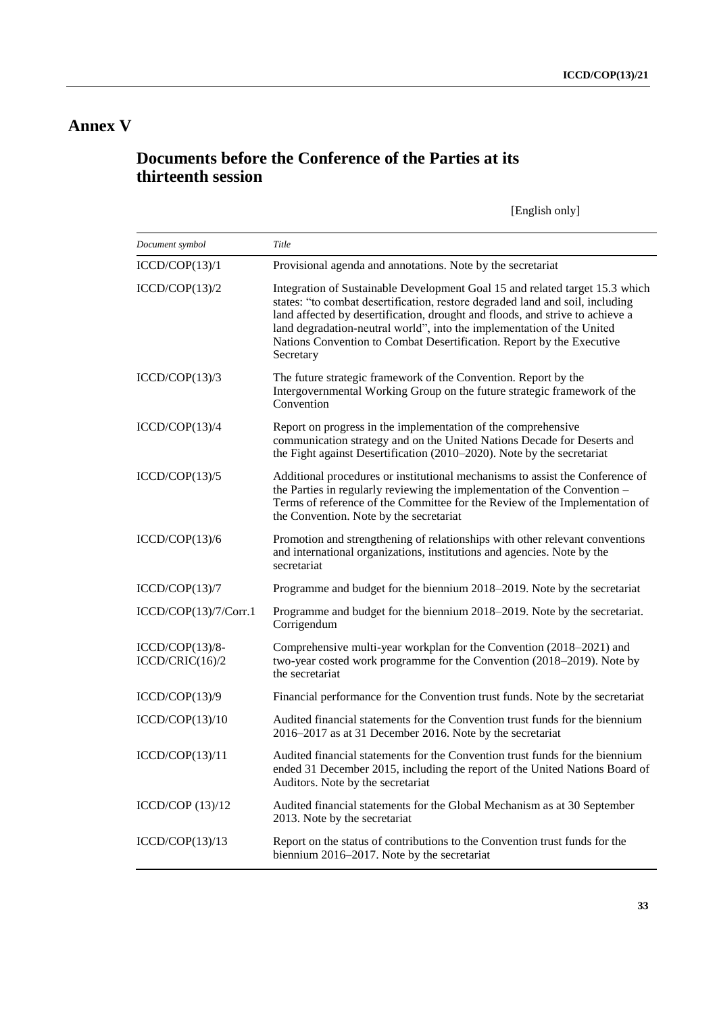# **Annex V**

# **Documents before the Conference of the Parties at its thirteenth session**

[English only]

| Document symbol                      | Title                                                                                                                                                                                                                                                                                                                                                                                                          |
|--------------------------------------|----------------------------------------------------------------------------------------------------------------------------------------------------------------------------------------------------------------------------------------------------------------------------------------------------------------------------------------------------------------------------------------------------------------|
| ICCD/COP(13)/1                       | Provisional agenda and annotations. Note by the secretariat                                                                                                                                                                                                                                                                                                                                                    |
| ICCD/COP(13)/2                       | Integration of Sustainable Development Goal 15 and related target 15.3 which<br>states: "to combat desertification, restore degraded land and soil, including<br>land affected by desertification, drought and floods, and strive to achieve a<br>land degradation-neutral world", into the implementation of the United<br>Nations Convention to Combat Desertification. Report by the Executive<br>Secretary |
| ICCD/COP(13)/3                       | The future strategic framework of the Convention. Report by the<br>Intergovernmental Working Group on the future strategic framework of the<br>Convention                                                                                                                                                                                                                                                      |
| ICCD/COP(13)/4                       | Report on progress in the implementation of the comprehensive<br>communication strategy and on the United Nations Decade for Deserts and<br>the Fight against Desertification (2010–2020). Note by the secretariat                                                                                                                                                                                             |
| ICCD/COP(13)/5                       | Additional procedures or institutional mechanisms to assist the Conference of<br>the Parties in regularly reviewing the implementation of the Convention -<br>Terms of reference of the Committee for the Review of the Implementation of<br>the Convention. Note by the secretariat                                                                                                                           |
| ICCD/COP(13)/6                       | Promotion and strengthening of relationships with other relevant conventions<br>and international organizations, institutions and agencies. Note by the<br>secretariat                                                                                                                                                                                                                                         |
| ICCD/COP(13)/7                       | Programme and budget for the biennium 2018–2019. Note by the secretariat                                                                                                                                                                                                                                                                                                                                       |
| ICCD/COP(13)/7/Corr.1                | Programme and budget for the biennium 2018-2019. Note by the secretariat.<br>Corrigendum                                                                                                                                                                                                                                                                                                                       |
| $ICCD/COP(13)/8-$<br>ICCD/CRIC(16)/2 | Comprehensive multi-year workplan for the Convention (2018-2021) and<br>two-year costed work programme for the Convention (2018-2019). Note by<br>the secretariat                                                                                                                                                                                                                                              |
| ICCD/COP(13)/9                       | Financial performance for the Convention trust funds. Note by the secretariat                                                                                                                                                                                                                                                                                                                                  |
| ICCD/COP(13)/10                      | Audited financial statements for the Convention trust funds for the biennium<br>2016–2017 as at 31 December 2016. Note by the secretariat                                                                                                                                                                                                                                                                      |
| ICCD/COP(13)/11                      | Audited financial statements for the Convention trust funds for the biennium<br>ended 31 December 2015, including the report of the United Nations Board of<br>Auditors. Note by the secretariat                                                                                                                                                                                                               |
| ICCD/COP $(13)/12$                   | Audited financial statements for the Global Mechanism as at 30 September<br>2013. Note by the secretariat                                                                                                                                                                                                                                                                                                      |
| ICCD/COP(13)/13                      | Report on the status of contributions to the Convention trust funds for the<br>biennium 2016–2017. Note by the secretariat                                                                                                                                                                                                                                                                                     |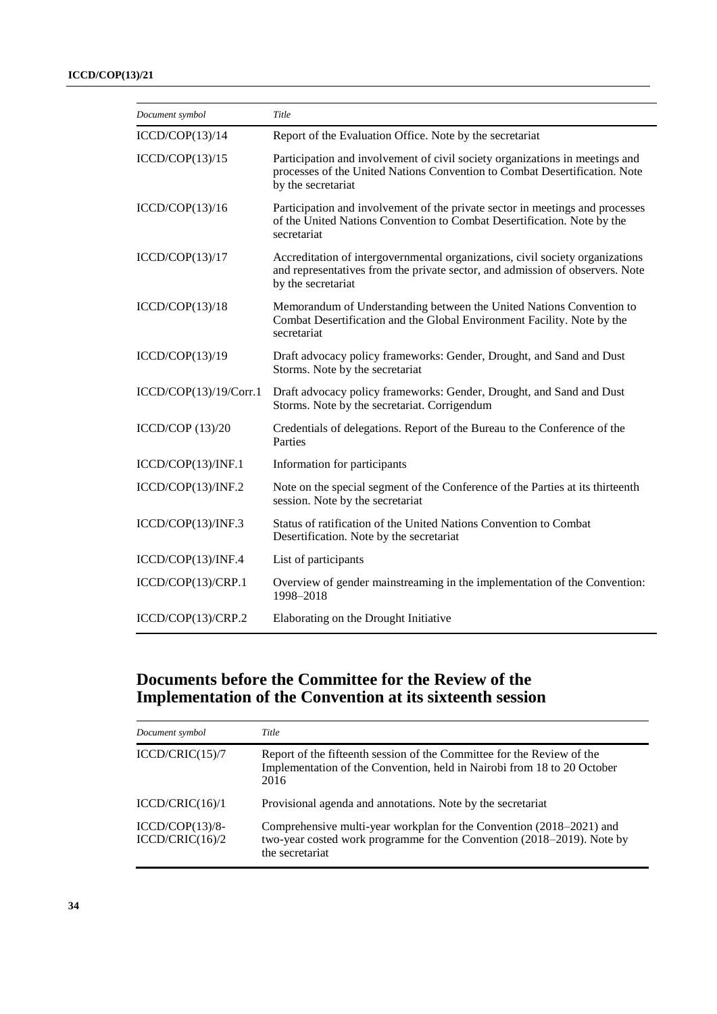| Document symbol        | Title                                                                                                                                                                                |
|------------------------|--------------------------------------------------------------------------------------------------------------------------------------------------------------------------------------|
| ICCD/COP(13)/14        | Report of the Evaluation Office. Note by the secretariat                                                                                                                             |
| ICCD/COP(13)/15        | Participation and involvement of civil society organizations in meetings and<br>processes of the United Nations Convention to Combat Desertification. Note<br>by the secretariat     |
| ICCD/COP(13)/16        | Participation and involvement of the private sector in meetings and processes<br>of the United Nations Convention to Combat Desertification. Note by the<br>secretariat              |
| ICCD/COP(13)/17        | Accreditation of intergovernmental organizations, civil society organizations<br>and representatives from the private sector, and admission of observers. Note<br>by the secretariat |
| ICCD/COP(13)/18        | Memorandum of Understanding between the United Nations Convention to<br>Combat Desertification and the Global Environment Facility. Note by the<br>secretariat                       |
| ICCD/COP(13)/19        | Draft advocacy policy frameworks: Gender, Drought, and Sand and Dust<br>Storms. Note by the secretariat                                                                              |
| ICCD/COP(13)/19/Corr.1 | Draft advocacy policy frameworks: Gender, Drought, and Sand and Dust<br>Storms. Note by the secretariat. Corrigendum                                                                 |
| ICCD/COP $(13)/20$     | Credentials of delegations. Report of the Bureau to the Conference of the<br>Parties                                                                                                 |
| ICCD/COP(13)/INF.1     | Information for participants                                                                                                                                                         |
| ICCD/COP(13)/INF.2     | Note on the special segment of the Conference of the Parties at its thirteenth<br>session. Note by the secretariat                                                                   |
| ICCD/COP(13)/INF.3     | Status of ratification of the United Nations Convention to Combat<br>Desertification. Note by the secretariat                                                                        |
| ICCD/COP(13)/INF.4     | List of participants                                                                                                                                                                 |
| ICCD/COP(13)/CRP.1     | Overview of gender mainstreaming in the implementation of the Convention:<br>1998-2018                                                                                               |
| ICCD/COP(13)/CRP.2     | Elaborating on the Drought Initiative                                                                                                                                                |

# **Documents before the Committee for the Review of the Implementation of the Convention at its sixteenth session**

| Document symbol                      | Title                                                                                                                                                             |
|--------------------------------------|-------------------------------------------------------------------------------------------------------------------------------------------------------------------|
| ICCD/CRIC(15)/7                      | Report of the fifteenth session of the Committee for the Review of the<br>Implementation of the Convention, held in Nairobi from 18 to 20 October<br>2016         |
| ICCD/CRIC(16)/1                      | Provisional agenda and annotations. Note by the secretariat                                                                                                       |
| $ICCD/COP(13)/8-$<br>ICCD/CRIC(16)/2 | Comprehensive multi-year workplan for the Convention (2018–2021) and<br>two-year costed work programme for the Convention (2018–2019). Note by<br>the secretariat |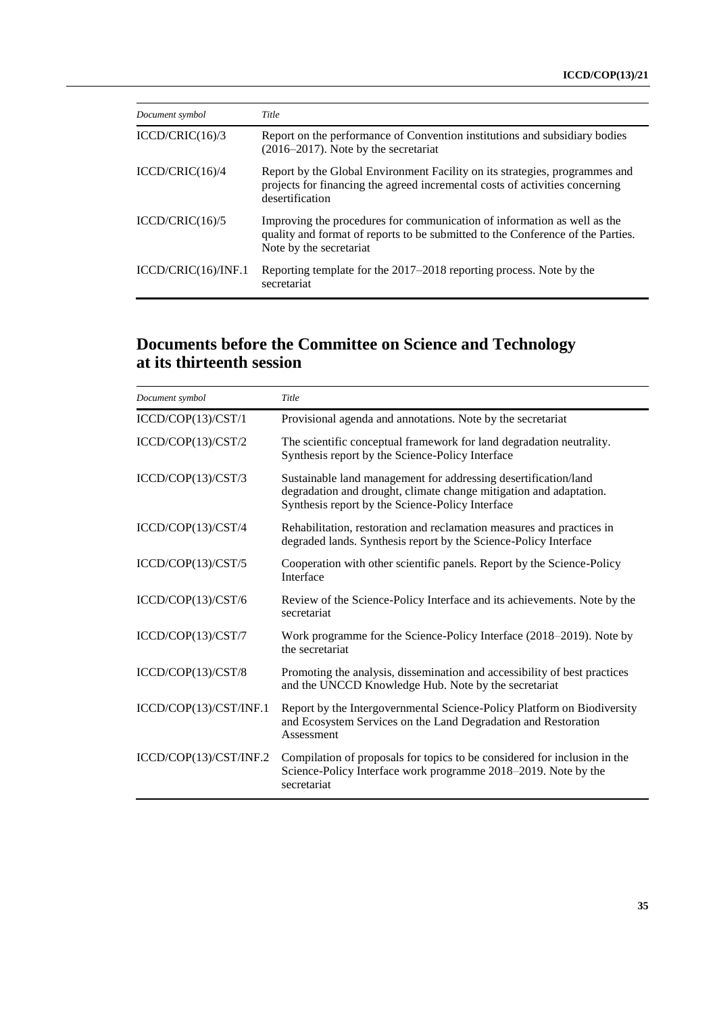| Document symbol     | Title                                                                                                                                                                                  |
|---------------------|----------------------------------------------------------------------------------------------------------------------------------------------------------------------------------------|
| ICCD/CRIC(16)/3     | Report on the performance of Convention institutions and subsidiary bodies<br>$(2016-2017)$ . Note by the secretariat                                                                  |
| ICCD/CRIC(16)/4     | Report by the Global Environment Facility on its strategies, programmes and<br>projects for financing the agreed incremental costs of activities concerning<br>desertification         |
| ICCD/CRIC(16)/5     | Improving the procedures for communication of information as well as the<br>quality and format of reports to be submitted to the Conference of the Parties.<br>Note by the secretariat |
| ICCD/CRIC(16)/INF.1 | Reporting template for the 2017–2018 reporting process. Note by the<br>secretariat                                                                                                     |

## **Documents before the Committee on Science and Technology at its thirteenth session**

| Document symbol        | Title                                                                                                                                                                                     |
|------------------------|-------------------------------------------------------------------------------------------------------------------------------------------------------------------------------------------|
| ICCD/COP(13)/CST/1     | Provisional agenda and annotations. Note by the secretariat                                                                                                                               |
| ICCD/COP(13)/CST/2     | The scientific conceptual framework for land degradation neutrality.<br>Synthesis report by the Science-Policy Interface                                                                  |
| ICCD/COP(13)/CST/3     | Sustainable land management for addressing desertification/land<br>degradation and drought, climate change mitigation and adaptation.<br>Synthesis report by the Science-Policy Interface |
| ICCD/COP(13)/CST/4     | Rehabilitation, restoration and reclamation measures and practices in<br>degraded lands. Synthesis report by the Science-Policy Interface                                                 |
| ICCD/COP(13)/CST/5     | Cooperation with other scientific panels. Report by the Science-Policy<br>Interface                                                                                                       |
| ICCD/COP(13)/CST/6     | Review of the Science-Policy Interface and its achievements. Note by the<br>secretariat                                                                                                   |
| ICCD/COP(13)/CST/7     | Work programme for the Science-Policy Interface (2018–2019). Note by<br>the secretariat                                                                                                   |
| ICCD/COP(13)/CST/8     | Promoting the analysis, dissemination and accessibility of best practices<br>and the UNCCD Knowledge Hub. Note by the secretariat                                                         |
| ICCD/COP(13)/CST/INF.1 | Report by the Intergovernmental Science-Policy Platform on Biodiversity<br>and Ecosystem Services on the Land Degradation and Restoration<br>Assessment                                   |
| ICCD/COP(13)/CST/INF.2 | Compilation of proposals for topics to be considered for inclusion in the<br>Science-Policy Interface work programme 2018–2019. Note by the<br>secretariat                                |